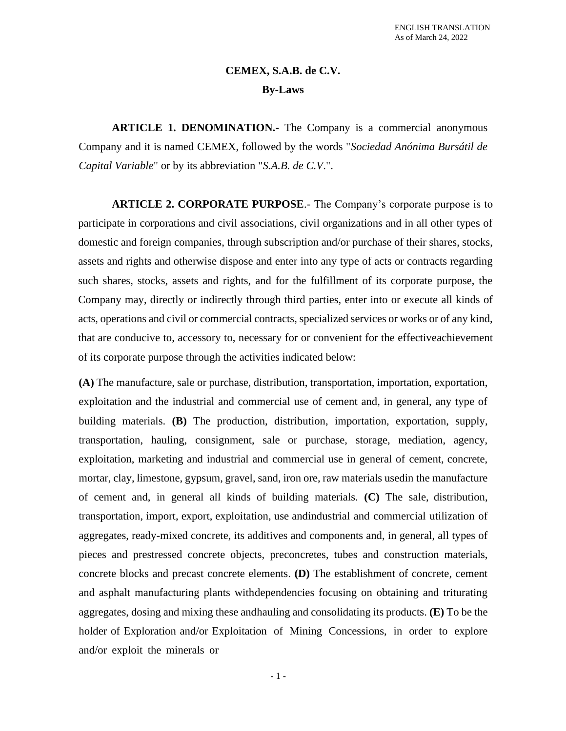# **CEMEX, S.A.B. de C.V. By-Laws**

**ARTICLE 1. DENOMINATION.-** The Company is a commercial anonymous Company and it is named CEMEX, followed by the words "*Sociedad Anónima Bursátil de Capital Variable*" or by its abbreviation "*S.A.B. de C.V*.".

**ARTICLE 2. CORPORATE PURPOSE**.- The Company's corporate purpose is to participate in corporations and civil associations, civil organizations and in all other types of domestic and foreign companies, through subscription and/or purchase of their shares, stocks, assets and rights and otherwise dispose and enter into any type of acts or contracts regarding such shares, stocks, assets and rights, and for the fulfillment of its corporate purpose, the Company may, directly or indirectly through third parties, enter into or execute all kinds of acts, operations and civil or commercial contracts, specialized services or works or of any kind, that are conducive to, accessory to, necessary for or convenient for the effectiveachievement of its corporate purpose through the activities indicated below:

**(A)** The manufacture, sale or purchase, distribution, transportation, importation, exportation, exploitation and the industrial and commercial use of cement and, in general, any type of building materials. **(B)** The production, distribution, importation, exportation, supply, transportation, hauling, consignment, sale or purchase, storage, mediation, agency, exploitation, marketing and industrial and commercial use in general of cement, concrete, mortar, clay, limestone, gypsum, gravel, sand, iron ore, raw materials usedin the manufacture of cement and, in general all kinds of building materials. **(C)** The sale, distribution, transportation, import, export, exploitation, use andindustrial and commercial utilization of aggregates, ready-mixed concrete, its additives and components and, in general, all types of pieces and prestressed concrete objects, preconcretes, tubes and construction materials, concrete blocks and precast concrete elements. **(D)** The establishment of concrete, cement and asphalt manufacturing plants withdependencies focusing on obtaining and triturating aggregates, dosing and mixing these andhauling and consolidating its products. **(E)** To be the holder of Exploration and/or Exploitation of Mining Concessions, in order to explore and/or exploit the minerals or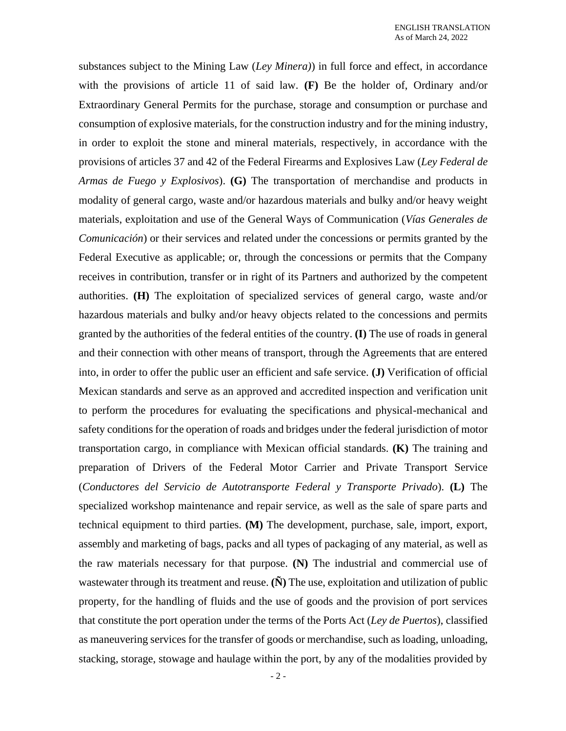substances subject to the Mining Law (*Ley Minera)*) in full force and effect, in accordance with the provisions of article 11 of said law. **(F)** Be the holder of, Ordinary and/or Extraordinary General Permits for the purchase, storage and consumption or purchase and consumption of explosive materials, for the construction industry and for the mining industry, in order to exploit the stone and mineral materials, respectively, in accordance with the provisions of articles 37 and 42 of the Federal Firearms and Explosives Law (*Ley Federal de Armas de Fuego y Explosivos*). **(G)** The transportation of merchandise and products in modality of general cargo, waste and/or hazardous materials and bulky and/or heavy weight materials, exploitation and use of the General Ways of Communication (*Vías Generales de Comunicación*) or their services and related under the concessions or permits granted by the Federal Executive as applicable; or, through the concessions or permits that the Company receives in contribution, transfer or in right of its Partners and authorized by the competent authorities. **(H)** The exploitation of specialized services of general cargo, waste and/or hazardous materials and bulky and/or heavy objects related to the concessions and permits granted by the authorities of the federal entities of the country. **(I)** The use of roads in general and their connection with other means of transport, through the Agreements that are entered into, in order to offer the public user an efficient and safe service. **(J)** Verification of official Mexican standards and serve as an approved and accredited inspection and verification unit to perform the procedures for evaluating the specifications and physical-mechanical and safety conditions for the operation of roads and bridges under the federal jurisdiction of motor transportation cargo, in compliance with Mexican official standards. **(K)** The training and preparation of Drivers of the Federal Motor Carrier and Private Transport Service (*Conductores del Servicio de Autotransporte Federal y Transporte Privado*). **(L)** The specialized workshop maintenance and repair service, as well as the sale of spare parts and technical equipment to third parties. **(M)** The development, purchase, sale, import, export, assembly and marketing of bags, packs and all types of packaging of any material, as well as the raw materials necessary for that purpose. **(N)** The industrial and commercial use of wastewater through its treatment and reuse. **(N)** The use, exploitation and utilization of public property, for the handling of fluids and the use of goods and the provision of port services that constitute the port operation under the terms of the Ports Act (*Ley de Puertos*), classified as maneuvering services for the transfer of goods or merchandise, such as loading, unloading, stacking, storage, stowage and haulage within the port, by any of the modalities provided by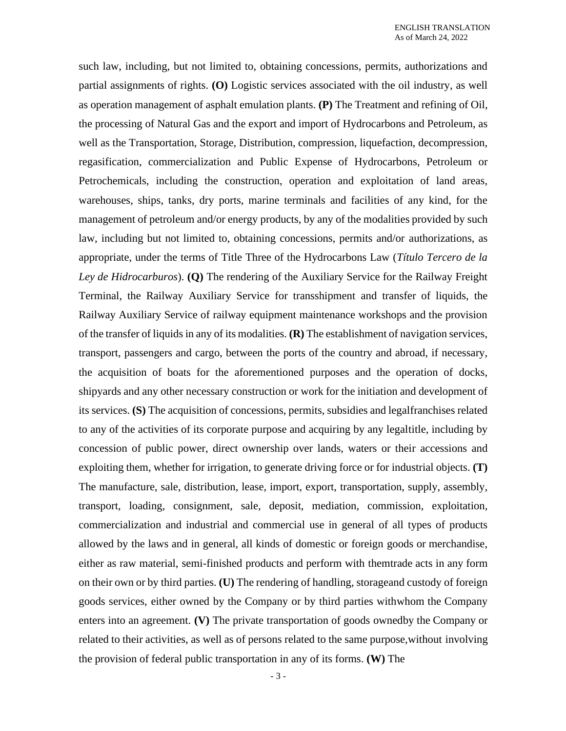such law, including, but not limited to, obtaining concessions, permits, authorizations and partial assignments of rights. **(O)** Logistic services associated with the oil industry, as well as operation management of asphalt emulation plants. **(P)** The Treatment and refining of Oil, the processing of Natural Gas and the export and import of Hydrocarbons and Petroleum, as well as the Transportation, Storage, Distribution, compression, liquefaction, decompression, regasification, commercialization and Public Expense of Hydrocarbons, Petroleum or Petrochemicals, including the construction, operation and exploitation of land areas, warehouses, ships, tanks, dry ports, marine terminals and facilities of any kind, for the management of petroleum and/or energy products, by any of the modalities provided by such law, including but not limited to, obtaining concessions, permits and/or authorizations, as appropriate, under the terms of Title Three of the Hydrocarbons Law (*Título Tercero de la Ley de Hidrocarburos*). **(Q)** The rendering of the Auxiliary Service for the Railway Freight Terminal, the Railway Auxiliary Service for transshipment and transfer of liquids, the Railway Auxiliary Service of railway equipment maintenance workshops and the provision of the transfer of liquids in any of its modalities. **(R)** The establishment of navigation services, transport, passengers and cargo, between the ports of the country and abroad, if necessary, the acquisition of boats for the aforementioned purposes and the operation of docks, shipyards and any other necessary construction or work for the initiation and development of its services. **(S)** The acquisition of concessions, permits, subsidies and legalfranchises related to any of the activities of its corporate purpose and acquiring by any legaltitle, including by concession of public power, direct ownership over lands, waters or their accessions and exploiting them, whether for irrigation, to generate driving force or for industrial objects. **(T)** The manufacture, sale, distribution, lease, import, export, transportation, supply, assembly, transport, loading, consignment, sale, deposit, mediation, commission, exploitation, commercialization and industrial and commercial use in general of all types of products allowed by the laws and in general, all kinds of domestic or foreign goods or merchandise, either as raw material, semi-finished products and perform with themtrade acts in any form on their own or by third parties. **(U)** The rendering of handling, storageand custody of foreign goods services, either owned by the Company or by third parties withwhom the Company enters into an agreement. **(V)** The private transportation of goods ownedby the Company or related to their activities, as well as of persons related to the same purpose,without involving the provision of federal public transportation in any of its forms. **(W)** The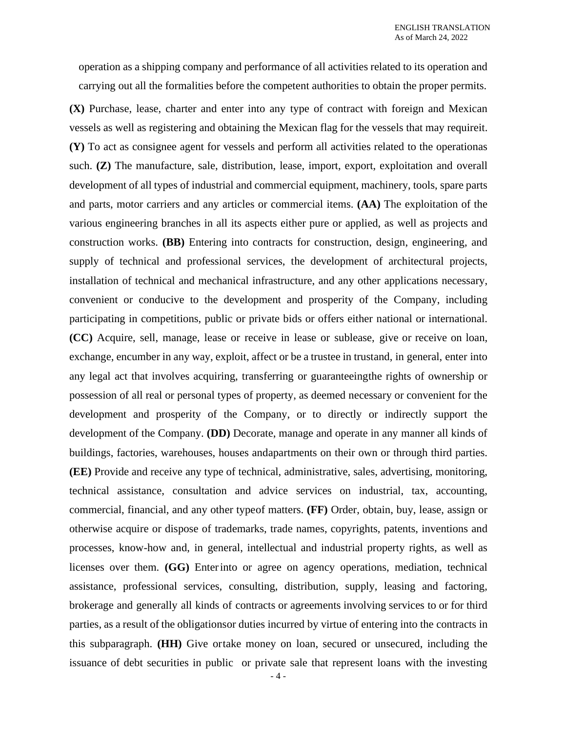operation as a shipping company and performance of all activities related to its operation and carrying out all the formalities before the competent authorities to obtain the proper permits.

**(X)** Purchase, lease, charter and enter into any type of contract with foreign and Mexican vessels as well as registering and obtaining the Mexican flag for the vessels that may requireit. **(Y)** To act as consignee agent for vessels and perform all activities related to the operationas such. **(Z)** The manufacture, sale, distribution, lease, import, export, exploitation and overall development of all types of industrial and commercial equipment, machinery, tools, spare parts and parts, motor carriers and any articles or commercial items. **(AA)** The exploitation of the various engineering branches in all its aspects either pure or applied, as well as projects and construction works. **(BB)** Entering into contracts for construction, design, engineering, and supply of technical and professional services, the development of architectural projects, installation of technical and mechanical infrastructure, and any other applications necessary, convenient or conducive to the development and prosperity of the Company, including participating in competitions, public or private bids or offers either national or international. **(CC)** Acquire, sell, manage, lease or receive in lease or sublease, give or receive on loan, exchange, encumber in any way, exploit, affect or be a trustee in trustand, in general, enter into any legal act that involves acquiring, transferring or guaranteeingthe rights of ownership or possession of all real or personal types of property, as deemed necessary or convenient for the development and prosperity of the Company, or to directly or indirectly support the development of the Company. **(DD)** Decorate, manage and operate in any manner all kinds of buildings, factories, warehouses, houses andapartments on their own or through third parties. **(EE)** Provide and receive any type of technical, administrative, sales, advertising, monitoring, technical assistance, consultation and advice services on industrial, tax, accounting, commercial, financial, and any other typeof matters. **(FF)** Order, obtain, buy, lease, assign or otherwise acquire or dispose of trademarks, trade names, copyrights, patents, inventions and processes, know-how and, in general, intellectual and industrial property rights, as well as licenses over them. **(GG)** Enterinto or agree on agency operations, mediation, technical assistance, professional services, consulting, distribution, supply, leasing and factoring, brokerage and generally all kinds of contracts or agreements involving services to or for third parties, as a result of the obligationsor duties incurred by virtue of entering into the contracts in this subparagraph. **(HH)** Give ortake money on loan, secured or unsecured, including the issuance of debt securities in public or private sale that represent loans with the investing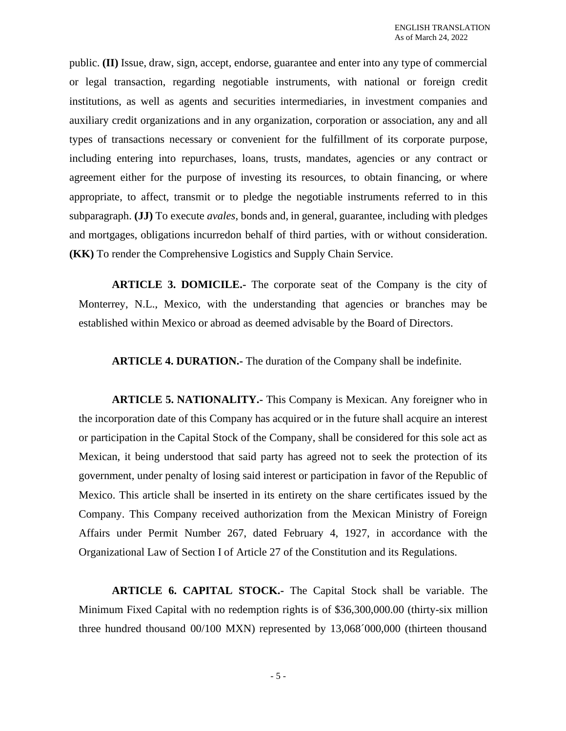public. **(II)** Issue, draw, sign, accept, endorse, guarantee and enter into any type of commercial or legal transaction, regarding negotiable instruments, with national or foreign credit institutions, as well as agents and securities intermediaries, in investment companies and auxiliary credit organizations and in any organization, corporation or association, any and all types of transactions necessary or convenient for the fulfillment of its corporate purpose, including entering into repurchases, loans, trusts, mandates, agencies or any contract or agreement either for the purpose of investing its resources, to obtain financing, or where appropriate, to affect, transmit or to pledge the negotiable instruments referred to in this subparagraph. **(JJ)** To execute *avales*, bonds and, in general, guarantee, including with pledges and mortgages, obligations incurredon behalf of third parties, with or without consideration. **(KK)** To render the Comprehensive Logistics and Supply Chain Service.

**ARTICLE 3. DOMICILE.-** The corporate seat of the Company is the city of Monterrey, N.L., Mexico, with the understanding that agencies or branches may be established within Mexico or abroad as deemed advisable by the Board of Directors.

**ARTICLE 4. DURATION.-** The duration of the Company shall be indefinite.

**ARTICLE 5. NATIONALITY.-** This Company is Mexican. Any foreigner who in the incorporation date of this Company has acquired or in the future shall acquire an interest or participation in the Capital Stock of the Company, shall be considered for this sole act as Mexican, it being understood that said party has agreed not to seek the protection of its government, under penalty of losing said interest or participation in favor of the Republic of Mexico. This article shall be inserted in its entirety on the share certificates issued by the Company. This Company received authorization from the Mexican Ministry of Foreign Affairs under Permit Number 267, dated February 4, 1927, in accordance with the Organizational Law of Section I of Article 27 of the Constitution and its Regulations.

**ARTICLE 6. CAPITAL STOCK.-** The Capital Stock shall be variable. The Minimum Fixed Capital with no redemption rights is of \$36,300,000.00 (thirty-six million three hundred thousand 00/100 MXN) represented by 13,068´000,000 (thirteen thousand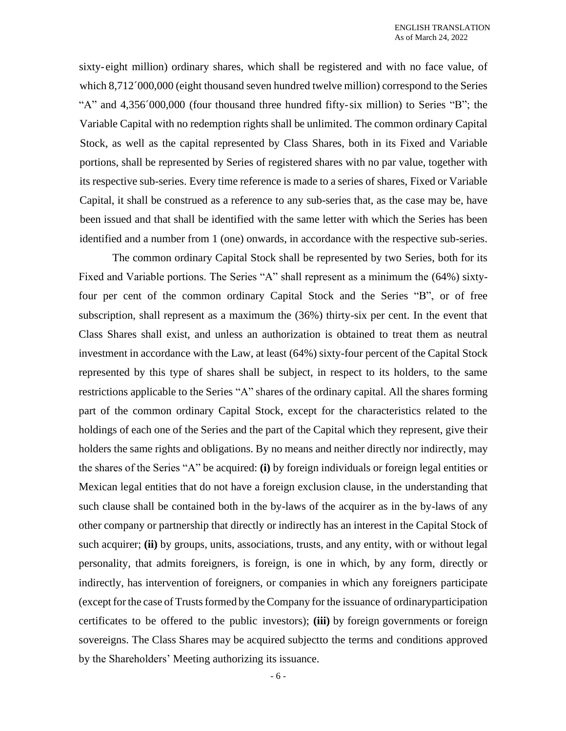sixty-eight million) ordinary shares, which shall be registered and with no face value, of which 8,712<sup> $\degree$ </sup>000,000 (eight thousand seven hundred twelve million) correspond to the Series "A" and 4,356´000,000 (four thousand three hundred fifty-six million) to Series "B"; the Variable Capital with no redemption rights shall be unlimited. The common ordinary Capital Stock, as well as the capital represented by Class Shares, both in its Fixed and Variable portions, shall be represented by Series of registered shares with no par value, together with its respective sub-series. Every time reference is made to a series of shares, Fixed or Variable Capital, it shall be construed as a reference to any sub-series that, as the case may be, have been issued and that shall be identified with the same letter with which the Series has been identified and a number from 1 (one) onwards, in accordance with the respective sub-series.

The common ordinary Capital Stock shall be represented by two Series, both for its Fixed and Variable portions. The Series "A" shall represent as a minimum the (64%) sixtyfour per cent of the common ordinary Capital Stock and the Series "B", or of free subscription, shall represent as a maximum the (36%) thirty-six per cent. In the event that Class Shares shall exist, and unless an authorization is obtained to treat them as neutral investment in accordance with the Law, at least (64%) sixty-four percent of the Capital Stock represented by this type of shares shall be subject, in respect to its holders, to the same restrictions applicable to the Series "A" shares of the ordinary capital. All the shares forming part of the common ordinary Capital Stock, except for the characteristics related to the holdings of each one of the Series and the part of the Capital which they represent, give their holders the same rights and obligations. By no means and neither directly nor indirectly, may the shares of the Series "A" be acquired: **(i)** by foreign individuals or foreign legal entities or Mexican legal entities that do not have a foreign exclusion clause, in the understanding that such clause shall be contained both in the by-laws of the acquirer as in the by-laws of any other company or partnership that directly or indirectly has an interest in the Capital Stock of such acquirer; **(ii)** by groups, units, associations, trusts, and any entity, with or without legal personality, that admits foreigners, is foreign, is one in which, by any form, directly or indirectly, has intervention of foreigners, or companies in which any foreigners participate (except forthe case of Trustsformed by theCompany for the issuance of ordinaryparticipation certificates to be offered to the public investors); **(iii)** by foreign governments or foreign sovereigns. The Class Shares may be acquired subjectto the terms and conditions approved by the Shareholders' Meeting authorizing its issuance.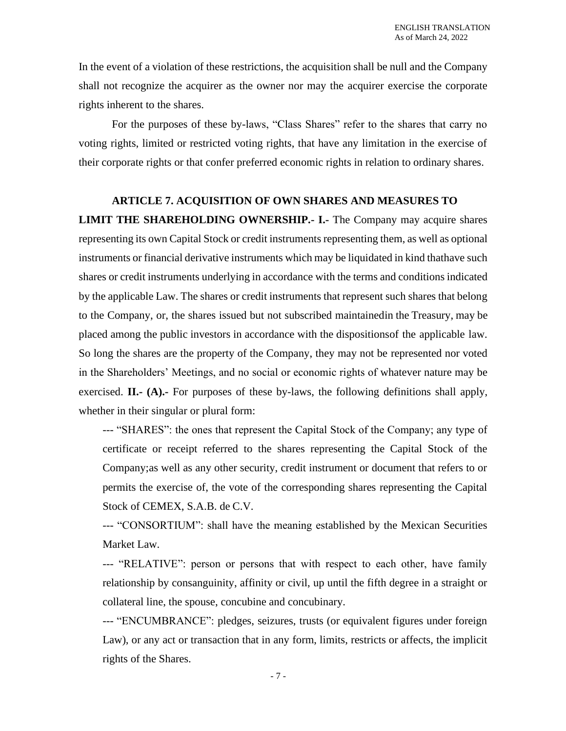In the event of a violation of these restrictions, the acquisition shall be null and the Company shall not recognize the acquirer as the owner nor may the acquirer exercise the corporate rights inherent to the shares.

For the purposes of these by-laws, "Class Shares" refer to the shares that carry no voting rights, limited or restricted voting rights, that have any limitation in the exercise of their corporate rights or that confer preferred economic rights in relation to ordinary shares.

# **ARTICLE 7. ACQUISITION OF OWN SHARES AND MEASURES TO**

**LIMIT THE SHAREHOLDING OWNERSHIP.- I.-** The Company may acquire shares representing its own Capital Stock or credit instruments representing them, as well as optional instruments or financial derivative instruments which may be liquidated in kind thathave such shares or credit instruments underlying in accordance with the terms and conditions indicated by the applicable Law. The shares or credit instruments that represent such shares that belong to the Company, or, the shares issued but not subscribed maintainedin the Treasury, may be placed among the public investors in accordance with the dispositionsof the applicable law. So long the shares are the property of the Company, they may not be represented nor voted in the Shareholders' Meetings, and no social or economic rights of whatever nature may be exercised. **II.- (A).-** For purposes of these by-laws, the following definitions shall apply, whether in their singular or plural form:

--- "SHARES": the ones that represent the Capital Stock of the Company; any type of certificate or receipt referred to the shares representing the Capital Stock of the Company;as well as any other security, credit instrument or document that refers to or permits the exercise of, the vote of the corresponding shares representing the Capital Stock of CEMEX, S.A.B. de C.V.

--- "CONSORTIUM": shall have the meaning established by the Mexican Securities Market Law.

--- "RELATIVE": person or persons that with respect to each other, have family relationship by consanguinity, affinity or civil, up until the fifth degree in a straight or collateral line, the spouse, concubine and concubinary.

--- "ENCUMBRANCE": pledges, seizures, trusts (or equivalent figures under foreign Law), or any act or transaction that in any form, limits, restricts or affects, the implicit rights of the Shares.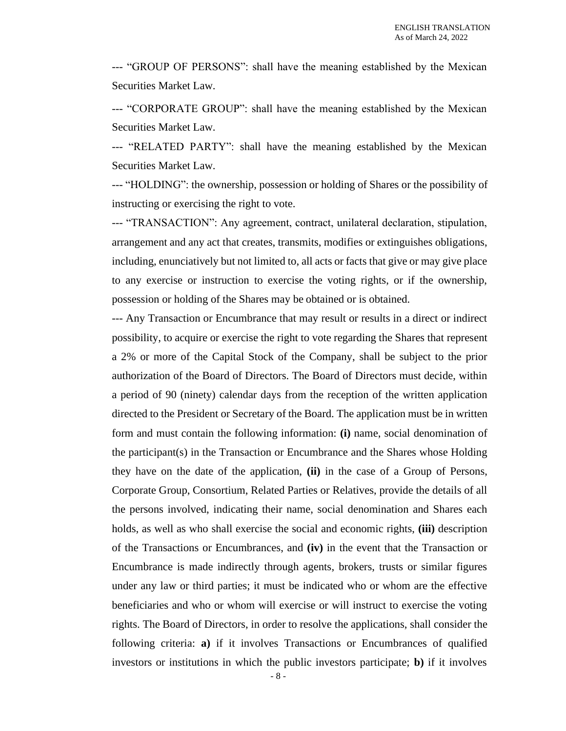--- "GROUP OF PERSONS": shall have the meaning established by the Mexican Securities Market Law.

--- "CORPORATE GROUP": shall have the meaning established by the Mexican Securities Market Law.

--- "RELATED PARTY": shall have the meaning established by the Mexican Securities Market Law.

--- "HOLDING": the ownership, possession or holding of Shares or the possibility of instructing or exercising the right to vote.

--- "TRANSACTION": Any agreement, contract, unilateral declaration, stipulation, arrangement and any act that creates, transmits, modifies or extinguishes obligations, including, enunciatively but not limited to, all acts or facts that give or may give place to any exercise or instruction to exercise the voting rights, or if the ownership, possession or holding of the Shares may be obtained or is obtained.

--- Any Transaction or Encumbrance that may result or results in a direct or indirect possibility, to acquire or exercise the right to vote regarding the Shares that represent a 2% or more of the Capital Stock of the Company, shall be subject to the prior authorization of the Board of Directors. The Board of Directors must decide, within a period of 90 (ninety) calendar days from the reception of the written application directed to the President or Secretary of the Board. The application must be in written form and must contain the following information: **(i)** name, social denomination of the participant(s) in the Transaction or Encumbrance and the Shares whose Holding they have on the date of the application, **(ii)** in the case of a Group of Persons, Corporate Group, Consortium, Related Parties or Relatives, provide the details of all the persons involved, indicating their name, social denomination and Shares each holds, as well as who shall exercise the social and economic rights, **(iii)** description of the Transactions or Encumbrances, and **(iv)** in the event that the Transaction or Encumbrance is made indirectly through agents, brokers, trusts or similar figures under any law or third parties; it must be indicated who or whom are the effective beneficiaries and who or whom will exercise or will instruct to exercise the voting rights. The Board of Directors, in order to resolve the applications, shall consider the following criteria: **a)** if it involves Transactions or Encumbrances of qualified investors or institutions in which the public investors participate; **b)** if it involves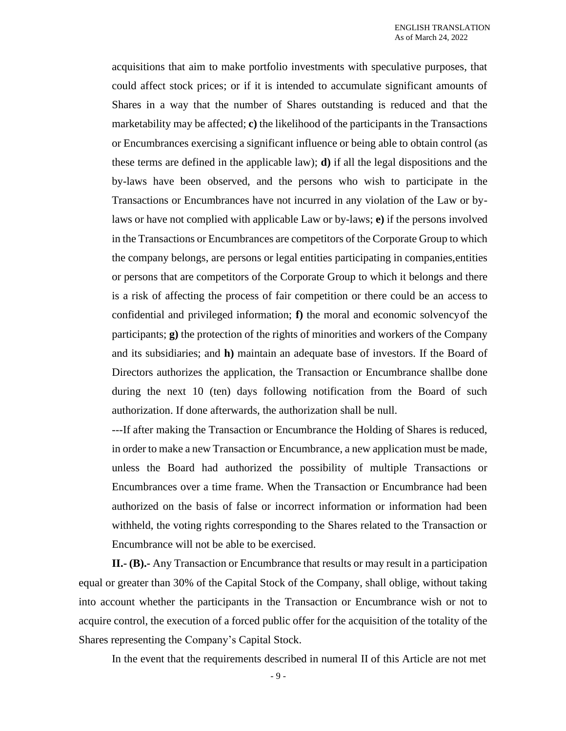acquisitions that aim to make portfolio investments with speculative purposes, that could affect stock prices; or if it is intended to accumulate significant amounts of Shares in a way that the number of Shares outstanding is reduced and that the marketability may be affected; **c)** the likelihood of the participants in the Transactions or Encumbrances exercising a significant influence or being able to obtain control (as these terms are defined in the applicable law); **d)** if all the legal dispositions and the by-laws have been observed, and the persons who wish to participate in the Transactions or Encumbrances have not incurred in any violation of the Law or bylaws or have not complied with applicable Law or by-laws; **e)** if the persons involved in the Transactions or Encumbrances are competitors of the Corporate Group to which the company belongs, are persons or legal entities participating in companies,entities or persons that are competitors of the Corporate Group to which it belongs and there is a risk of affecting the process of fair competition or there could be an access to confidential and privileged information; **f)** the moral and economic solvencyof the participants; **g)** the protection of the rights of minorities and workers of the Company and its subsidiaries; and **h)** maintain an adequate base of investors. If the Board of Directors authorizes the application, the Transaction or Encumbrance shallbe done during the next 10 (ten) days following notification from the Board of such authorization. If done afterwards, the authorization shall be null.

---If after making the Transaction or Encumbrance the Holding of Shares is reduced, in order to make a new Transaction or Encumbrance, a new application must be made, unless the Board had authorized the possibility of multiple Transactions or Encumbrances over a time frame. When the Transaction or Encumbrance had been authorized on the basis of false or incorrect information or information had been withheld, the voting rights corresponding to the Shares related to the Transaction or Encumbrance will not be able to be exercised.

**II.- (B).-** Any Transaction or Encumbrance that results or may result in a participation equal or greater than 30% of the Capital Stock of the Company, shall oblige, without taking into account whether the participants in the Transaction or Encumbrance wish or not to acquire control, the execution of a forced public offer for the acquisition of the totality of the Shares representing the Company's Capital Stock.

In the event that the requirements described in numeral II of this Article are not met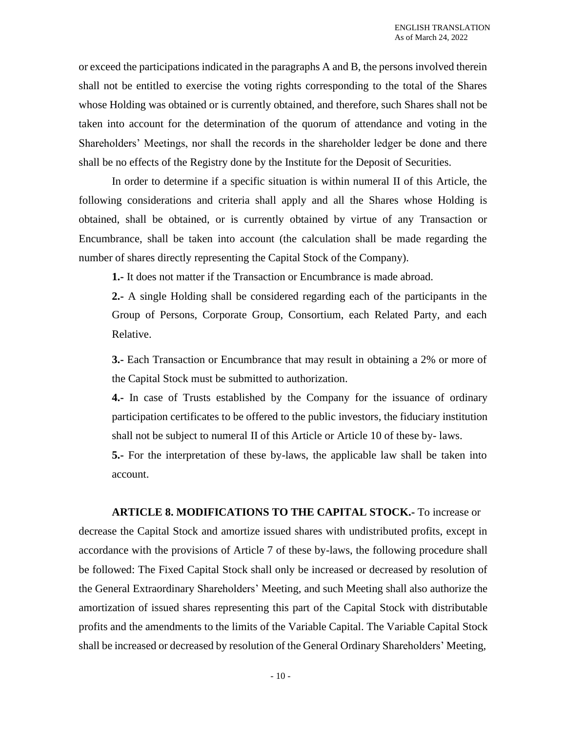or exceed the participations indicated in the paragraphs A and B, the persons involved therein shall not be entitled to exercise the voting rights corresponding to the total of the Shares whose Holding was obtained or is currently obtained, and therefore, such Shares shall not be taken into account for the determination of the quorum of attendance and voting in the Shareholders' Meetings, nor shall the records in the shareholder ledger be done and there shall be no effects of the Registry done by the Institute for the Deposit of Securities.

In order to determine if a specific situation is within numeral II of this Article, the following considerations and criteria shall apply and all the Shares whose Holding is obtained, shall be obtained, or is currently obtained by virtue of any Transaction or Encumbrance, shall be taken into account (the calculation shall be made regarding the number of shares directly representing the Capital Stock of the Company).

**1.-** It does not matter if the Transaction or Encumbrance is made abroad.

**2.-** A single Holding shall be considered regarding each of the participants in the Group of Persons, Corporate Group, Consortium, each Related Party, and each Relative.

**3.-** Each Transaction or Encumbrance that may result in obtaining a 2% or more of the Capital Stock must be submitted to authorization.

**4.-** In case of Trusts established by the Company for the issuance of ordinary participation certificates to be offered to the public investors, the fiduciary institution shall not be subject to numeral II of this Article or Article 10 of these by- laws.

**5.-** For the interpretation of these by-laws, the applicable law shall be taken into account.

**ARTICLE 8. MODIFICATIONS TO THE CAPITAL STOCK.-** To increase or decrease the Capital Stock and amortize issued shares with undistributed profits, except in accordance with the provisions of Article 7 of these by-laws, the following procedure shall be followed: The Fixed Capital Stock shall only be increased or decreased by resolution of the General Extraordinary Shareholders' Meeting, and such Meeting shall also authorize the amortization of issued shares representing this part of the Capital Stock with distributable profits and the amendments to the limits of the Variable Capital. The Variable Capital Stock shall be increased or decreased by resolution of the General Ordinary Shareholders' Meeting,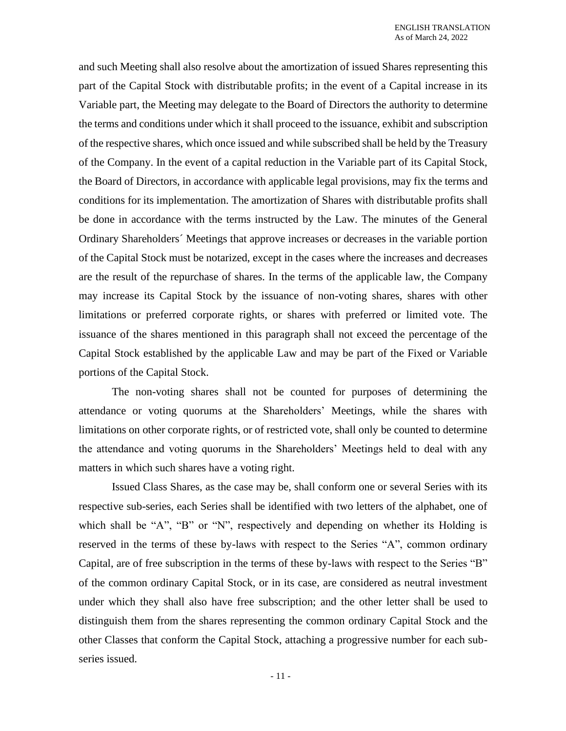and such Meeting shall also resolve about the amortization of issued Shares representing this part of the Capital Stock with distributable profits; in the event of a Capital increase in its Variable part, the Meeting may delegate to the Board of Directors the authority to determine the terms and conditions under which it shall proceed to the issuance, exhibit and subscription of the respective shares, which once issued and while subscribed shall be held by the Treasury of the Company. In the event of a capital reduction in the Variable part of its Capital Stock, the Board of Directors, in accordance with applicable legal provisions, may fix the terms and conditions for its implementation. The amortization of Shares with distributable profits shall be done in accordance with the terms instructed by the Law. The minutes of the General Ordinary Shareholders´ Meetings that approve increases or decreases in the variable portion of the Capital Stock must be notarized, except in the cases where the increases and decreases are the result of the repurchase of shares. In the terms of the applicable law, the Company may increase its Capital Stock by the issuance of non-voting shares, shares with other limitations or preferred corporate rights, or shares with preferred or limited vote. The issuance of the shares mentioned in this paragraph shall not exceed the percentage of the Capital Stock established by the applicable Law and may be part of the Fixed or Variable portions of the Capital Stock.

The non-voting shares shall not be counted for purposes of determining the attendance or voting quorums at the Shareholders' Meetings, while the shares with limitations on other corporate rights, or of restricted vote, shall only be counted to determine the attendance and voting quorums in the Shareholders' Meetings held to deal with any matters in which such shares have a voting right.

Issued Class Shares, as the case may be, shall conform one or several Series with its respective sub-series, each Series shall be identified with two letters of the alphabet, one of which shall be "A", "B" or "N", respectively and depending on whether its Holding is reserved in the terms of these by-laws with respect to the Series "A", common ordinary Capital, are of free subscription in the terms of these by-laws with respect to the Series "B" of the common ordinary Capital Stock, or in its case, are considered as neutral investment under which they shall also have free subscription; and the other letter shall be used to distinguish them from the shares representing the common ordinary Capital Stock and the other Classes that conform the Capital Stock, attaching a progressive number for each subseries issued.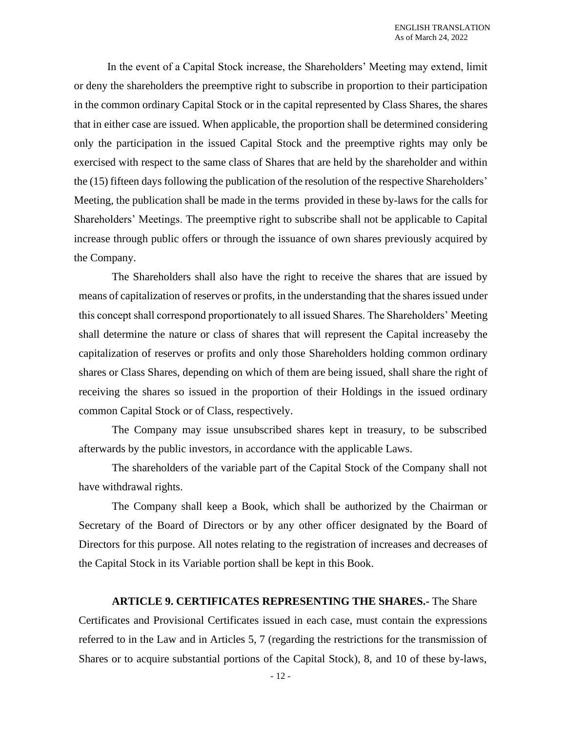In the event of a Capital Stock increase, the Shareholders' Meeting may extend, limit or deny the shareholders the preemptive right to subscribe in proportion to their participation in the common ordinary Capital Stock or in the capital represented by Class Shares, the shares that in either case are issued. When applicable, the proportion shall be determined considering only the participation in the issued Capital Stock and the preemptive rights may only be exercised with respect to the same class of Shares that are held by the shareholder and within the (15) fifteen days following the publication of the resolution of the respective Shareholders' Meeting, the publication shall be made in the terms provided in these by-laws for the calls for Shareholders' Meetings. The preemptive right to subscribe shall not be applicable to Capital increase through public offers or through the issuance of own shares previously acquired by the Company.

The Shareholders shall also have the right to receive the shares that are issued by means of capitalization of reserves or profits, in the understanding that the shares issued under this concept shall correspond proportionately to all issued Shares. The Shareholders' Meeting shall determine the nature or class of shares that will represent the Capital increaseby the capitalization of reserves or profits and only those Shareholders holding common ordinary shares or Class Shares, depending on which of them are being issued, shall share the right of receiving the shares so issued in the proportion of their Holdings in the issued ordinary common Capital Stock or of Class, respectively.

The Company may issue unsubscribed shares kept in treasury, to be subscribed afterwards by the public investors, in accordance with the applicable Laws.

The shareholders of the variable part of the Capital Stock of the Company shall not have withdrawal rights.

The Company shall keep a Book, which shall be authorized by the Chairman or Secretary of the Board of Directors or by any other officer designated by the Board of Directors for this purpose. All notes relating to the registration of increases and decreases of the Capital Stock in its Variable portion shall be kept in this Book.

#### **ARTICLE 9. CERTIFICATES REPRESENTING THE SHARES.-** The Share

Certificates and Provisional Certificates issued in each case, must contain the expressions referred to in the Law and in Articles 5, 7 (regarding the restrictions for the transmission of Shares or to acquire substantial portions of the Capital Stock), 8, and 10 of these by-laws,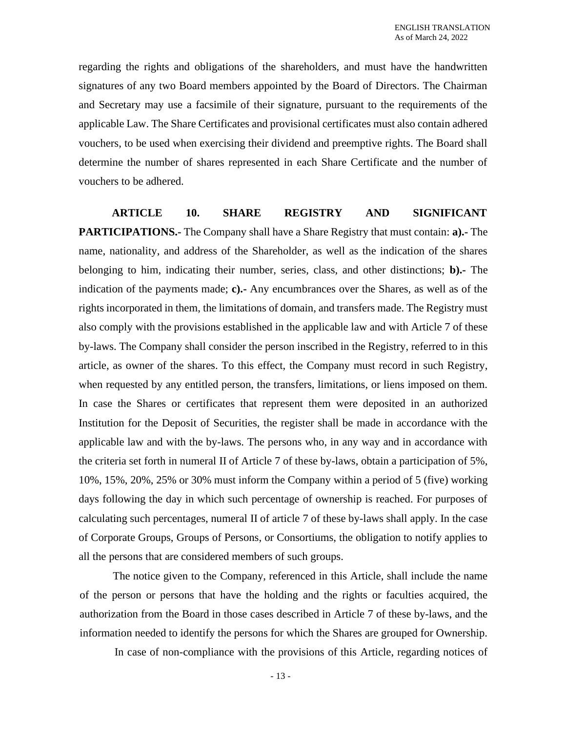regarding the rights and obligations of the shareholders, and must have the handwritten signatures of any two Board members appointed by the Board of Directors. The Chairman and Secretary may use a facsimile of their signature, pursuant to the requirements of the applicable Law. The Share Certificates and provisional certificates must also contain adhered vouchers, to be used when exercising their dividend and preemptive rights. The Board shall determine the number of shares represented in each Share Certificate and the number of vouchers to be adhered.

**ARTICLE 10. SHARE REGISTRY AND SIGNIFICANT PARTICIPATIONS.-** The Company shall have a Share Registry that must contain: **a).-** The name, nationality, and address of the Shareholder, as well as the indication of the shares belonging to him, indicating their number, series, class, and other distinctions; **b).-** The indication of the payments made; **c).-** Any encumbrances over the Shares, as well as of the rights incorporated in them, the limitations of domain, and transfers made. The Registry must also comply with the provisions established in the applicable law and with Article 7 of these by-laws. The Company shall consider the person inscribed in the Registry, referred to in this article, as owner of the shares. To this effect, the Company must record in such Registry, when requested by any entitled person, the transfers, limitations, or liens imposed on them. In case the Shares or certificates that represent them were deposited in an authorized Institution for the Deposit of Securities, the register shall be made in accordance with the applicable law and with the by-laws. The persons who, in any way and in accordance with the criteria set forth in numeral II of Article 7 of these by-laws, obtain a participation of 5%, 10%, 15%, 20%, 25% or 30% must inform the Company within a period of 5 (five) working days following the day in which such percentage of ownership is reached. For purposes of calculating such percentages, numeral II of article 7 of these by-laws shall apply. In the case of Corporate Groups, Groups of Persons, or Consortiums, the obligation to notify applies to all the persons that are considered members of such groups.

The notice given to the Company, referenced in this Article, shall include the name of the person or persons that have the holding and the rights or faculties acquired, the authorization from the Board in those cases described in Article 7 of these by-laws, and the information needed to identify the persons for which the Shares are grouped for Ownership.

In case of non-compliance with the provisions of this Article, regarding notices of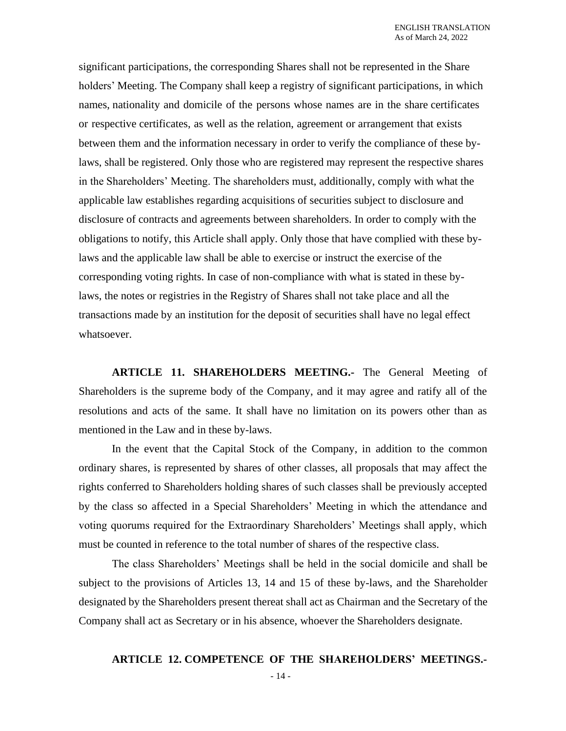significant participations, the corresponding Shares shall not be represented in the Share holders' Meeting. The Company shall keep a registry of significant participations, in which names, nationality and domicile of the persons whose names are in the share certificates or respective certificates, as well as the relation, agreement or arrangement that exists between them and the information necessary in order to verify the compliance of these bylaws, shall be registered. Only those who are registered may represent the respective shares in the Shareholders' Meeting. The shareholders must, additionally, comply with what the applicable law establishes regarding acquisitions of securities subject to disclosure and disclosure of contracts and agreements between shareholders. In order to comply with the obligations to notify, this Article shall apply. Only those that have complied with these bylaws and the applicable law shall be able to exercise or instruct the exercise of the corresponding voting rights. In case of non-compliance with what is stated in these bylaws, the notes or registries in the Registry of Shares shall not take place and all the transactions made by an institution for the deposit of securities shall have no legal effect whatsoever.

**ARTICLE 11. SHAREHOLDERS MEETING.-** The General Meeting of Shareholders is the supreme body of the Company, and it may agree and ratify all of the resolutions and acts of the same. It shall have no limitation on its powers other than as mentioned in the Law and in these by-laws.

In the event that the Capital Stock of the Company, in addition to the common ordinary shares, is represented by shares of other classes, all proposals that may affect the rights conferred to Shareholders holding shares of such classes shall be previously accepted by the class so affected in a Special Shareholders' Meeting in which the attendance and voting quorums required for the Extraordinary Shareholders' Meetings shall apply, which must be counted in reference to the total number of shares of the respective class.

The class Shareholders' Meetings shall be held in the social domicile and shall be subject to the provisions of Articles 13, 14 and 15 of these by-laws, and the Shareholder designated by the Shareholders present thereat shall act as Chairman and the Secretary of the Company shall act as Secretary or in his absence, whoever the Shareholders designate.

# **ARTICLE 12. COMPETENCE OF THE SHAREHOLDERS' MEETINGS.-**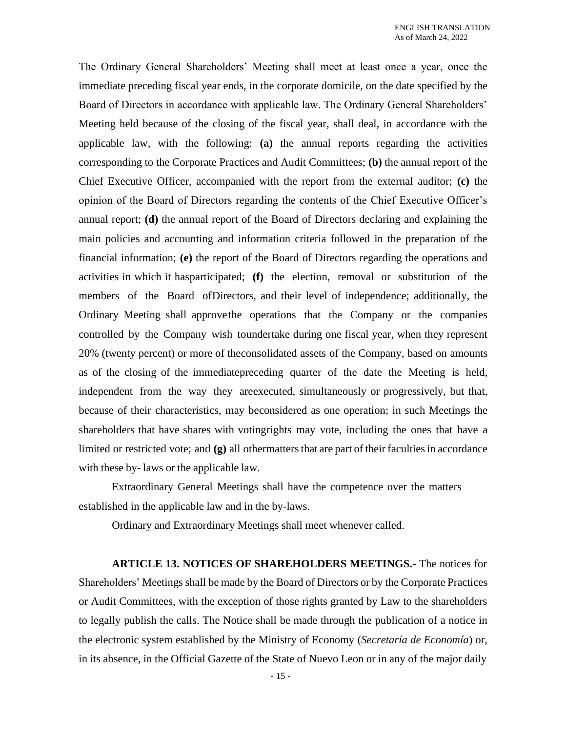The Ordinary General Shareholders' Meeting shall meet at least once a year, once the immediate preceding fiscal year ends, in the corporate domicile, on the date specified by the Board of Directors in accordance with applicable law. The Ordinary General Shareholders' Meeting held because of the closing of the fiscal year, shall deal, in accordance with the applicable law, with the following: **(a)** the annual reports regarding the activities corresponding to the Corporate Practices and Audit Committees; **(b)** the annual report of the Chief Executive Officer, accompanied with the report from the external auditor; **(c)** the opinion of the Board of Directors regarding the contents of the Chief Executive Officer's annual report; **(d)** the annual report of the Board of Directors declaring and explaining the main policies and accounting and information criteria followed in the preparation of the financial information; **(e)** the report of the Board of Directors regarding the operations and activities in which it hasparticipated; **(f)** the election, removal or substitution of the members of the Board ofDirectors, and their level of independence; additionally, the Ordinary Meeting shall approvethe operations that the Company or the companies controlled by the Company wish toundertake during one fiscal year, when they represent 20% (twenty percent) or more of theconsolidated assets of the Company, based on amounts as of the closing of the immediatepreceding quarter of the date the Meeting is held, independent from the way they areexecuted, simultaneously or progressively, but that, because of their characteristics, may beconsidered as one operation; in such Meetings the shareholders that have shares with votingrights may vote, including the ones that have a limited or restricted vote; and **(g)** all othermatters that are part of their faculties in accordance with these by- laws or the applicable law.

Extraordinary General Meetings shall have the competence over the matters established in the applicable law and in the by-laws.

Ordinary and Extraordinary Meetings shall meet whenever called.

**ARTICLE 13. NOTICES OF SHAREHOLDERS MEETINGS.-** The notices for Shareholders' Meetings shall be made by the Board of Directors or by the Corporate Practices or Audit Committees, with the exception of those rights granted by Law to the shareholders to legally publish the calls. The Notice shall be made through the publication of a notice in the electronic system established by the Ministry of Economy (*Secretaría de Economía*) or, in its absence, in the Official Gazette of the State of Nuevo Leon or in any of the major daily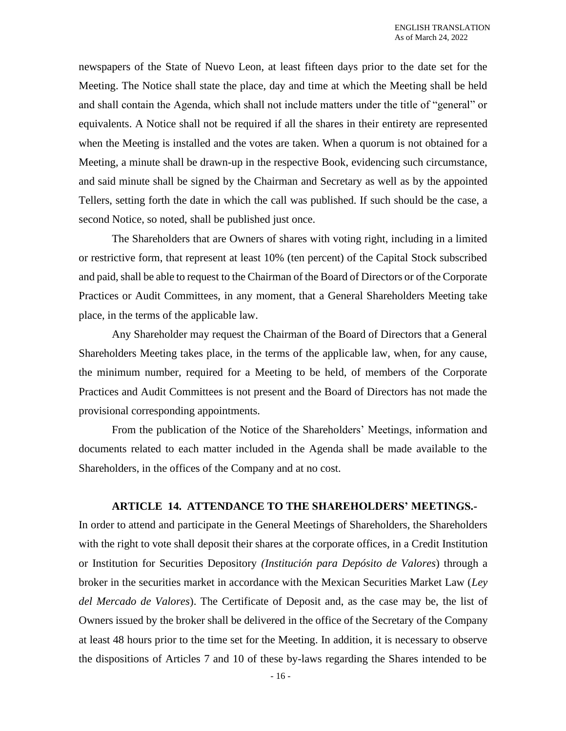newspapers of the State of Nuevo Leon, at least fifteen days prior to the date set for the Meeting. The Notice shall state the place, day and time at which the Meeting shall be held and shall contain the Agenda, which shall not include matters under the title of "general" or equivalents. A Notice shall not be required if all the shares in their entirety are represented when the Meeting is installed and the votes are taken. When a quorum is not obtained for a Meeting, a minute shall be drawn-up in the respective Book, evidencing such circumstance, and said minute shall be signed by the Chairman and Secretary as well as by the appointed Tellers, setting forth the date in which the call was published. If such should be the case, a second Notice, so noted, shall be published just once.

The Shareholders that are Owners of shares with voting right, including in a limited or restrictive form, that represent at least 10% (ten percent) of the Capital Stock subscribed and paid, shall be able to request to the Chairman of the Board of Directors or of the Corporate Practices or Audit Committees, in any moment, that a General Shareholders Meeting take place, in the terms of the applicable law.

Any Shareholder may request the Chairman of the Board of Directors that a General Shareholders Meeting takes place, in the terms of the applicable law, when, for any cause, the minimum number, required for a Meeting to be held, of members of the Corporate Practices and Audit Committees is not present and the Board of Directors has not made the provisional corresponding appointments.

From the publication of the Notice of the Shareholders' Meetings, information and documents related to each matter included in the Agenda shall be made available to the Shareholders, in the offices of the Company and at no cost.

# **ARTICLE 14. ATTENDANCE TO THE SHAREHOLDERS' MEETINGS.-**

In order to attend and participate in the General Meetings of Shareholders, the Shareholders with the right to vote shall deposit their shares at the corporate offices, in a Credit Institution or Institution for Securities Depository *(Institución para Depósito de Valores*) through a broker in the securities market in accordance with the Mexican Securities Market Law (*Ley del Mercado de Valores*). The Certificate of Deposit and, as the case may be, the list of Owners issued by the broker shall be delivered in the office of the Secretary of the Company at least 48 hours prior to the time set for the Meeting. In addition, it is necessary to observe the dispositions of Articles 7 and 10 of these by-laws regarding the Shares intended to be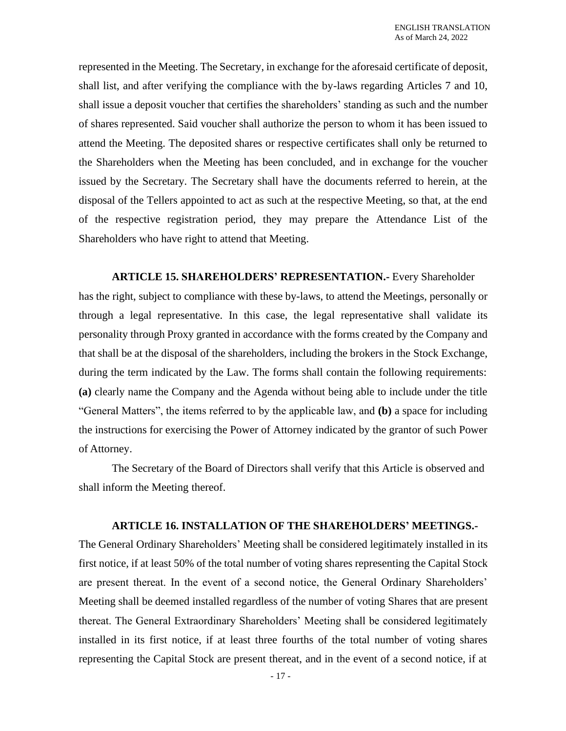represented in the Meeting. The Secretary, in exchange for the aforesaid certificate of deposit, shall list, and after verifying the compliance with the by-laws regarding Articles 7 and 10, shall issue a deposit voucher that certifies the shareholders' standing as such and the number of shares represented. Said voucher shall authorize the person to whom it has been issued to attend the Meeting. The deposited shares or respective certificates shall only be returned to the Shareholders when the Meeting has been concluded, and in exchange for the voucher issued by the Secretary. The Secretary shall have the documents referred to herein, at the disposal of the Tellers appointed to act as such at the respective Meeting, so that, at the end of the respective registration period, they may prepare the Attendance List of the Shareholders who have right to attend that Meeting.

**ARTICLE 15. SHAREHOLDERS' REPRESENTATION.-** Every Shareholder has the right, subject to compliance with these by-laws, to attend the Meetings, personally or through a legal representative. In this case, the legal representative shall validate its personality through Proxy granted in accordance with the forms created by the Company and that shall be at the disposal of the shareholders, including the brokers in the Stock Exchange, during the term indicated by the Law. The forms shall contain the following requirements: **(a)** clearly name the Company and the Agenda without being able to include under the title "General Matters", the items referred to by the applicable law, and **(b)** a space for including the instructions for exercising the Power of Attorney indicated by the grantor of such Power of Attorney.

The Secretary of the Board of Directors shall verify that this Article is observed and shall inform the Meeting thereof.

#### **ARTICLE 16. INSTALLATION OF THE SHAREHOLDERS' MEETINGS.-**

The General Ordinary Shareholders' Meeting shall be considered legitimately installed in its first notice, if at least 50% of the total number of voting shares representing the Capital Stock are present thereat. In the event of a second notice, the General Ordinary Shareholders' Meeting shall be deemed installed regardless of the number of voting Shares that are present thereat. The General Extraordinary Shareholders' Meeting shall be considered legitimately installed in its first notice, if at least three fourths of the total number of voting shares representing the Capital Stock are present thereat, and in the event of a second notice, if at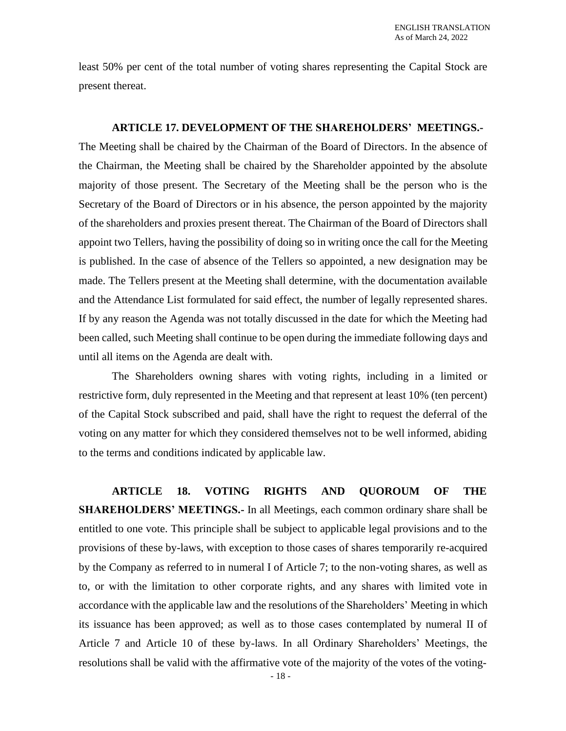least 50% per cent of the total number of voting shares representing the Capital Stock are present thereat.

#### **ARTICLE 17. DEVELOPMENT OF THE SHAREHOLDERS' MEETINGS.-**

The Meeting shall be chaired by the Chairman of the Board of Directors. In the absence of the Chairman, the Meeting shall be chaired by the Shareholder appointed by the absolute majority of those present. The Secretary of the Meeting shall be the person who is the Secretary of the Board of Directors or in his absence, the person appointed by the majority of the shareholders and proxies present thereat. The Chairman of the Board of Directors shall appoint two Tellers, having the possibility of doing so in writing once the call for the Meeting is published. In the case of absence of the Tellers so appointed, a new designation may be made. The Tellers present at the Meeting shall determine, with the documentation available and the Attendance List formulated for said effect, the number of legally represented shares. If by any reason the Agenda was not totally discussed in the date for which the Meeting had been called, such Meeting shall continue to be open during the immediate following days and until all items on the Agenda are dealt with.

The Shareholders owning shares with voting rights, including in a limited or restrictive form, duly represented in the Meeting and that represent at least 10% (ten percent) of the Capital Stock subscribed and paid, shall have the right to request the deferral of the voting on any matter for which they considered themselves not to be well informed, abiding to the terms and conditions indicated by applicable law.

**ARTICLE 18. VOTING RIGHTS AND QUOROUM OF THE SHAREHOLDERS' MEETINGS.-** In all Meetings, each common ordinary share shall be entitled to one vote. This principle shall be subject to applicable legal provisions and to the provisions of these by-laws, with exception to those cases of shares temporarily re-acquired by the Company as referred to in numeral I of Article 7; to the non-voting shares, as well as to, or with the limitation to other corporate rights, and any shares with limited vote in accordance with the applicable law and the resolutions of the Shareholders' Meeting in which its issuance has been approved; as well as to those cases contemplated by numeral II of Article 7 and Article 10 of these by-laws. In all Ordinary Shareholders' Meetings, the resolutions shall be valid with the affirmative vote of the majority of the votes of the voting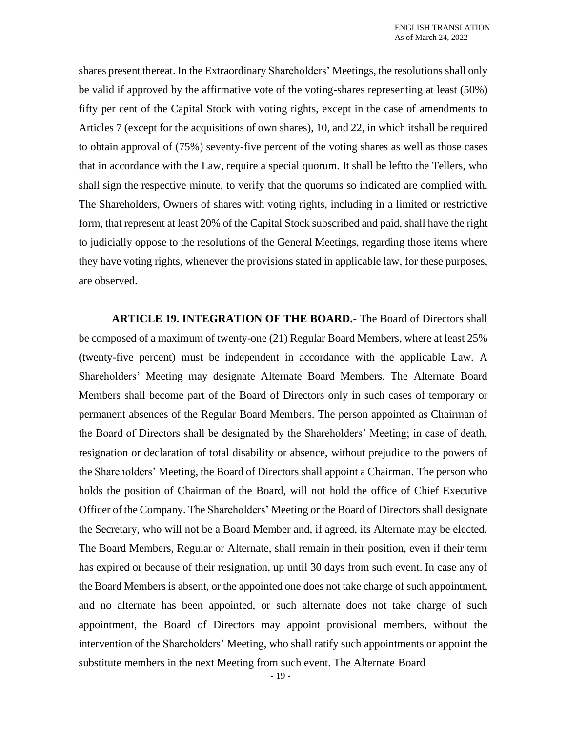shares present thereat. In the Extraordinary Shareholders' Meetings, the resolutions shall only be valid if approved by the affirmative vote of the voting-shares representing at least (50%) fifty per cent of the Capital Stock with voting rights, except in the case of amendments to Articles 7 (except for the acquisitions of own shares), 10, and 22, in which itshall be required to obtain approval of (75%) seventy-five percent of the voting shares as well as those cases that in accordance with the Law, require a special quorum. It shall be leftto the Tellers, who shall sign the respective minute, to verify that the quorums so indicated are complied with. The Shareholders, Owners of shares with voting rights, including in a limited or restrictive form, that represent at least 20% of the Capital Stock subscribed and paid, shall have the right to judicially oppose to the resolutions of the General Meetings, regarding those items where they have voting rights, whenever the provisions stated in applicable law, for these purposes, are observed.

**ARTICLE 19. INTEGRATION OF THE BOARD.-** The Board of Directors shall be composed of a maximum of twenty-one (21) Regular Board Members, where at least 25% (twenty-five percent) must be independent in accordance with the applicable Law. A Shareholders' Meeting may designate Alternate Board Members. The Alternate Board Members shall become part of the Board of Directors only in such cases of temporary or permanent absences of the Regular Board Members. The person appointed as Chairman of the Board of Directors shall be designated by the Shareholders' Meeting; in case of death, resignation or declaration of total disability or absence, without prejudice to the powers of the Shareholders' Meeting, the Board of Directors shall appoint a Chairman. The person who holds the position of Chairman of the Board, will not hold the office of Chief Executive Officer of the Company. The Shareholders' Meeting or the Board of Directors shall designate the Secretary, who will not be a Board Member and, if agreed, its Alternate may be elected. The Board Members, Regular or Alternate, shall remain in their position, even if their term has expired or because of their resignation, up until 30 days from such event. In case any of the Board Members is absent, or the appointed one does not take charge of such appointment, and no alternate has been appointed, or such alternate does not take charge of such appointment, the Board of Directors may appoint provisional members, without the intervention of the Shareholders' Meeting, who shall ratify such appointments or appoint the substitute members in the next Meeting from such event. The Alternate Board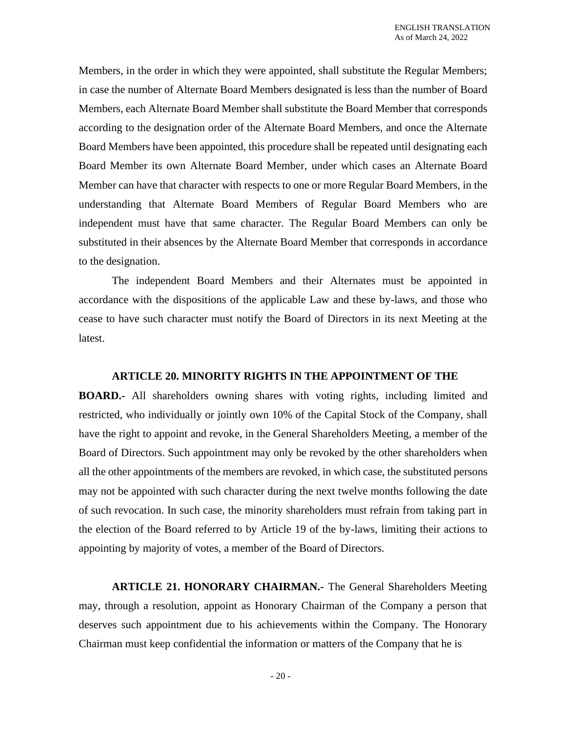Members, in the order in which they were appointed, shall substitute the Regular Members; in case the number of Alternate Board Members designated is less than the number of Board Members, each Alternate Board Member shall substitute the Board Member that corresponds according to the designation order of the Alternate Board Members, and once the Alternate Board Members have been appointed, this procedure shall be repeated until designating each Board Member its own Alternate Board Member, under which cases an Alternate Board Member can have that character with respects to one or more Regular Board Members, in the understanding that Alternate Board Members of Regular Board Members who are independent must have that same character. The Regular Board Members can only be substituted in their absences by the Alternate Board Member that corresponds in accordance to the designation.

The independent Board Members and their Alternates must be appointed in accordance with the dispositions of the applicable Law and these by-laws, and those who cease to have such character must notify the Board of Directors in its next Meeting at the latest.

#### **ARTICLE 20. MINORITY RIGHTS IN THE APPOINTMENT OF THE**

**BOARD.-** All shareholders owning shares with voting rights, including limited and restricted, who individually or jointly own 10% of the Capital Stock of the Company, shall have the right to appoint and revoke, in the General Shareholders Meeting, a member of the Board of Directors. Such appointment may only be revoked by the other shareholders when all the other appointments of the members are revoked, in which case, the substituted persons may not be appointed with such character during the next twelve months following the date of such revocation. In such case, the minority shareholders must refrain from taking part in the election of the Board referred to by Article 19 of the by-laws, limiting their actions to appointing by majority of votes, a member of the Board of Directors.

**ARTICLE 21. HONORARY CHAIRMAN.-** The General Shareholders Meeting may, through a resolution, appoint as Honorary Chairman of the Company a person that deserves such appointment due to his achievements within the Company. The Honorary Chairman must keep confidential the information or matters of the Company that he is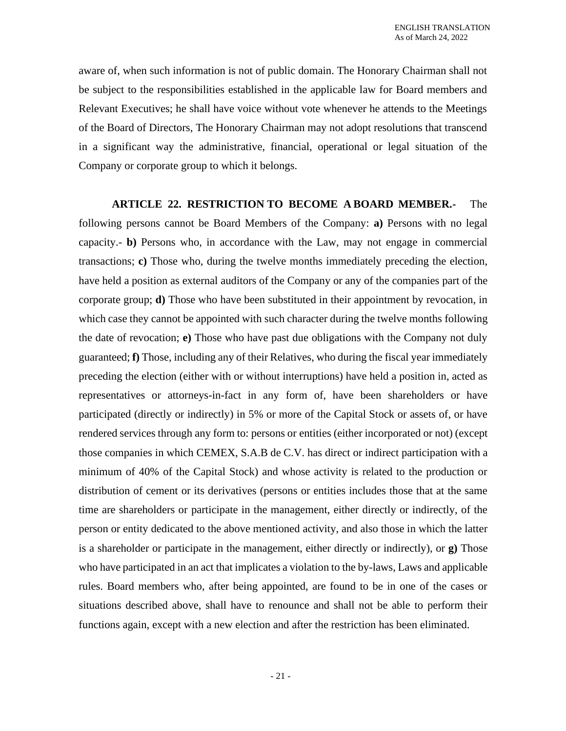aware of, when such information is not of public domain. The Honorary Chairman shall not be subject to the responsibilities established in the applicable law for Board members and Relevant Executives; he shall have voice without vote whenever he attends to the Meetings of the Board of Directors, The Honorary Chairman may not adopt resolutions that transcend in a significant way the administrative, financial, operational or legal situation of the Company or corporate group to which it belongs.

**ARTICLE 22. RESTRICTION TO BECOME A BOARD MEMBER.-** The following persons cannot be Board Members of the Company: **a)** Persons with no legal capacity.- **b)** Persons who, in accordance with the Law, may not engage in commercial transactions; **c)** Those who, during the twelve months immediately preceding the election, have held a position as external auditors of the Company or any of the companies part of the corporate group; **d)** Those who have been substituted in their appointment by revocation, in which case they cannot be appointed with such character during the twelve months following the date of revocation; **e)** Those who have past due obligations with the Company not duly guaranteed; **f)** Those, including any of their Relatives, who during the fiscal year immediately preceding the election (either with or without interruptions) have held a position in, acted as representatives or attorneys-in-fact in any form of, have been shareholders or have participated (directly or indirectly) in 5% or more of the Capital Stock or assets of, or have rendered services through any form to: persons or entities (either incorporated or not) (except those companies in which CEMEX, S.A.B de C.V. has direct or indirect participation with a minimum of 40% of the Capital Stock) and whose activity is related to the production or distribution of cement or its derivatives (persons or entities includes those that at the same time are shareholders or participate in the management, either directly or indirectly, of the person or entity dedicated to the above mentioned activity, and also those in which the latter is a shareholder or participate in the management, either directly or indirectly), or **g)** Those who have participated in an act that implicates a violation to the by-laws, Laws and applicable rules. Board members who, after being appointed, are found to be in one of the cases or situations described above, shall have to renounce and shall not be able to perform their functions again, except with a new election and after the restriction has been eliminated.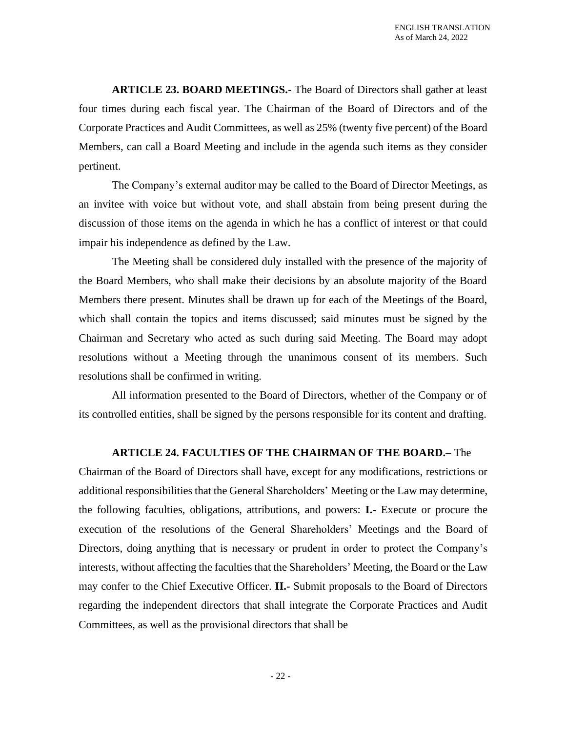**ARTICLE 23. BOARD MEETINGS.-** The Board of Directors shall gather at least four times during each fiscal year. The Chairman of the Board of Directors and of the Corporate Practices and Audit Committees, as well as 25% (twenty five percent) of the Board Members, can call a Board Meeting and include in the agenda such items as they consider pertinent.

The Company's external auditor may be called to the Board of Director Meetings, as an invitee with voice but without vote, and shall abstain from being present during the discussion of those items on the agenda in which he has a conflict of interest or that could impair his independence as defined by the Law.

The Meeting shall be considered duly installed with the presence of the majority of the Board Members, who shall make their decisions by an absolute majority of the Board Members there present. Minutes shall be drawn up for each of the Meetings of the Board, which shall contain the topics and items discussed; said minutes must be signed by the Chairman and Secretary who acted as such during said Meeting. The Board may adopt resolutions without a Meeting through the unanimous consent of its members. Such resolutions shall be confirmed in writing.

All information presented to the Board of Directors, whether of the Company or of its controlled entities, shall be signed by the persons responsible for its content and drafting.

# **ARTICLE 24. FACULTIES OF THE CHAIRMAN OF THE BOARD.–** The

Chairman of the Board of Directors shall have, except for any modifications, restrictions or additional responsibilities that the General Shareholders' Meeting or the Law may determine, the following faculties, obligations, attributions, and powers: **I.-** Execute or procure the execution of the resolutions of the General Shareholders' Meetings and the Board of Directors, doing anything that is necessary or prudent in order to protect the Company's interests, without affecting the faculties that the Shareholders' Meeting, the Board or the Law may confer to the Chief Executive Officer. **II.-** Submit proposals to the Board of Directors regarding the independent directors that shall integrate the Corporate Practices and Audit Committees, as well as the provisional directors that shall be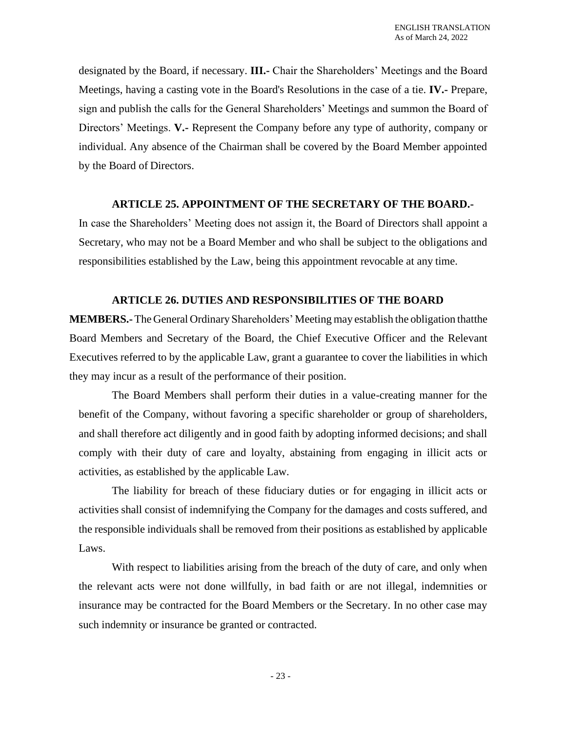designated by the Board, if necessary. **III.-** Chair the Shareholders' Meetings and the Board Meetings, having a casting vote in the Board's Resolutions in the case of a tie. **IV.-** Prepare, sign and publish the calls for the General Shareholders' Meetings and summon the Board of Directors' Meetings. **V.-** Represent the Company before any type of authority, company or individual. Any absence of the Chairman shall be covered by the Board Member appointed by the Board of Directors.

# **ARTICLE 25. APPOINTMENT OF THE SECRETARY OF THE BOARD.-**

In case the Shareholders' Meeting does not assign it, the Board of Directors shall appoint a Secretary, who may not be a Board Member and who shall be subject to the obligations and responsibilities established by the Law, being this appointment revocable at any time.

# **ARTICLE 26. DUTIES AND RESPONSIBILITIES OF THE BOARD**

**MEMBERS.-**The General Ordinary Shareholders' Meeting may establish the obligation thatthe Board Members and Secretary of the Board, the Chief Executive Officer and the Relevant Executives referred to by the applicable Law, grant a guarantee to cover the liabilities in which they may incur as a result of the performance of their position.

The Board Members shall perform their duties in a value-creating manner for the benefit of the Company, without favoring a specific shareholder or group of shareholders, and shall therefore act diligently and in good faith by adopting informed decisions; and shall comply with their duty of care and loyalty, abstaining from engaging in illicit acts or activities, as established by the applicable Law.

The liability for breach of these fiduciary duties or for engaging in illicit acts or activities shall consist of indemnifying the Company for the damages and costs suffered, and the responsible individuals shall be removed from their positions as established by applicable Laws.

With respect to liabilities arising from the breach of the duty of care, and only when the relevant acts were not done willfully, in bad faith or are not illegal, indemnities or insurance may be contracted for the Board Members or the Secretary. In no other case may such indemnity or insurance be granted or contracted.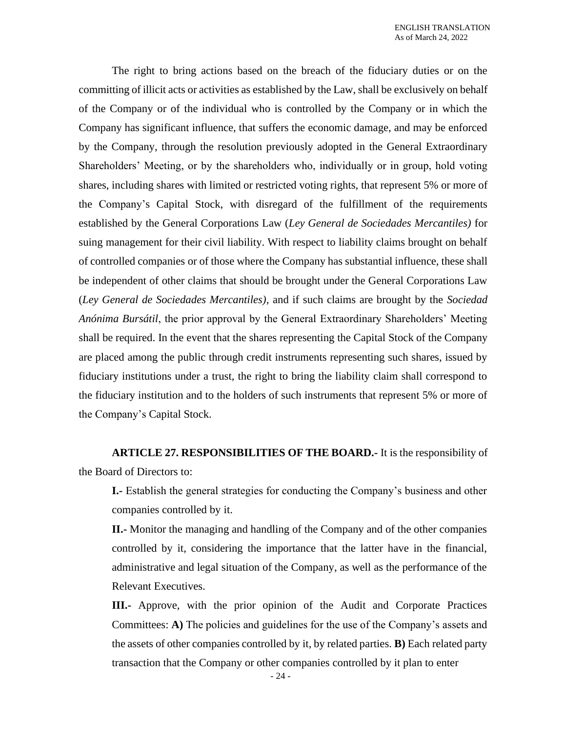The right to bring actions based on the breach of the fiduciary duties or on the committing of illicit acts or activities as established by the Law, shall be exclusively on behalf of the Company or of the individual who is controlled by the Company or in which the Company has significant influence, that suffers the economic damage, and may be enforced by the Company, through the resolution previously adopted in the General Extraordinary Shareholders' Meeting, or by the shareholders who, individually or in group, hold voting shares, including shares with limited or restricted voting rights, that represent 5% or more of the Company's Capital Stock, with disregard of the fulfillment of the requirements established by the General Corporations Law (*Ley General de Sociedades Mercantiles)* for suing management for their civil liability. With respect to liability claims brought on behalf of controlled companies or of those where the Company has substantial influence, these shall be independent of other claims that should be brought under the General Corporations Law (*Ley General de Sociedades Mercantiles)*, and if such claims are brought by the *Sociedad Anónima Bursátil*, the prior approval by the General Extraordinary Shareholders' Meeting shall be required. In the event that the shares representing the Capital Stock of the Company are placed among the public through credit instruments representing such shares, issued by fiduciary institutions under a trust, the right to bring the liability claim shall correspond to the fiduciary institution and to the holders of such instruments that represent 5% or more of the Company's Capital Stock.

**ARTICLE 27. RESPONSIBILITIES OF THE BOARD.-** It is the responsibility of the Board of Directors to:

**I.-** Establish the general strategies for conducting the Company's business and other companies controlled by it.

**II.-** Monitor the managing and handling of the Company and of the other companies controlled by it, considering the importance that the latter have in the financial, administrative and legal situation of the Company, as well as the performance of the Relevant Executives.

**III.-** Approve, with the prior opinion of the Audit and Corporate Practices Committees: **A)** The policies and guidelines for the use of the Company's assets and the assets of other companies controlled by it, by related parties. **B)** Each related party transaction that the Company or other companies controlled by it plan to enter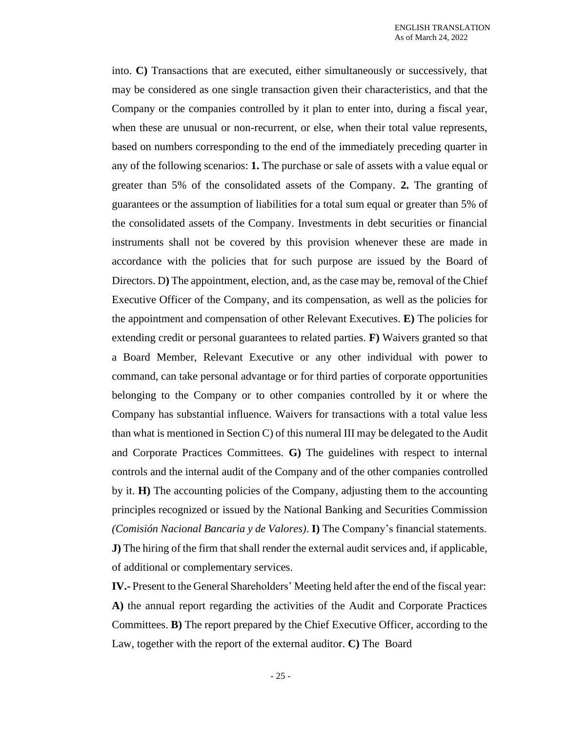into. **C)** Transactions that are executed, either simultaneously or successively, that may be considered as one single transaction given their characteristics, and that the Company or the companies controlled by it plan to enter into, during a fiscal year, when these are unusual or non-recurrent, or else, when their total value represents, based on numbers corresponding to the end of the immediately preceding quarter in any of the following scenarios: **1.** The purchase or sale of assets with a value equal or greater than 5% of the consolidated assets of the Company. **2.** The granting of guarantees or the assumption of liabilities for a total sum equal or greater than 5% of the consolidated assets of the Company. Investments in debt securities or financial instruments shall not be covered by this provision whenever these are made in accordance with the policies that for such purpose are issued by the Board of Directors. D**)** The appointment, election, and, as the case may be, removal of the Chief Executive Officer of the Company, and its compensation, as well as the policies for the appointment and compensation of other Relevant Executives. **E)** The policies for extending credit or personal guarantees to related parties. **F)** Waivers granted so that a Board Member, Relevant Executive or any other individual with power to command, can take personal advantage or for third parties of corporate opportunities belonging to the Company or to other companies controlled by it or where the Company has substantial influence. Waivers for transactions with a total value less than what is mentioned in Section C) of this numeral III may be delegated to the Audit and Corporate Practices Committees. **G)** The guidelines with respect to internal controls and the internal audit of the Company and of the other companies controlled by it. **H)** The accounting policies of the Company, adjusting them to the accounting principles recognized or issued by the National Banking and Securities Commission *(Comisión Nacional Bancaria y de Valores)*. **I)** The Company's financial statements. **J)** The hiring of the firm that shall render the external audit services and, if applicable, of additional or complementary services.

**IV.-** Present to the General Shareholders' Meeting held after the end of the fiscal year: **A)** the annual report regarding the activities of the Audit and Corporate Practices Committees. **B)** The report prepared by the Chief Executive Officer, according to the Law, together with the report of the external auditor. **C)** The Board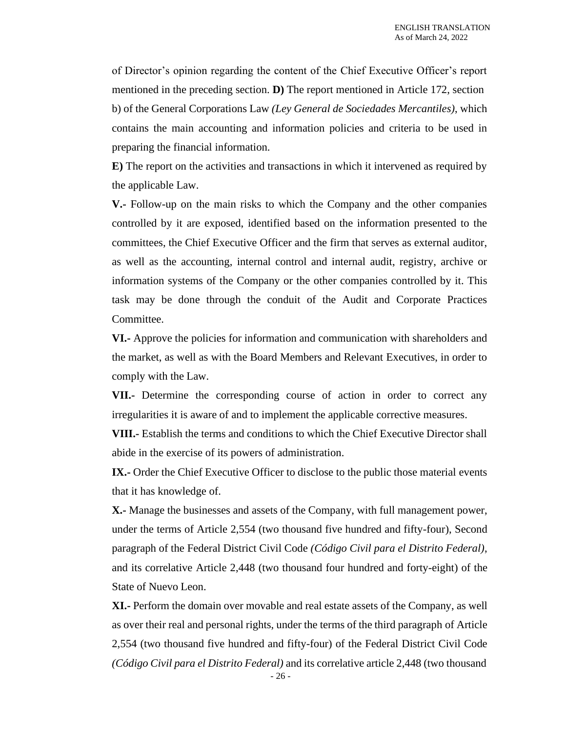of Director's opinion regarding the content of the Chief Executive Officer's report mentioned in the preceding section. **D)** The report mentioned in Article 172, section b) of the General Corporations Law *(Ley General de Sociedades Mercantiles)*, which contains the main accounting and information policies and criteria to be used in preparing the financial information.

**E)** The report on the activities and transactions in which it intervened as required by the applicable Law.

**V.-** Follow-up on the main risks to which the Company and the other companies controlled by it are exposed, identified based on the information presented to the committees, the Chief Executive Officer and the firm that serves as external auditor, as well as the accounting, internal control and internal audit, registry, archive or information systems of the Company or the other companies controlled by it. This task may be done through the conduit of the Audit and Corporate Practices Committee.

**VI.-** Approve the policies for information and communication with shareholders and the market, as well as with the Board Members and Relevant Executives, in order to comply with the Law.

**VII.-** Determine the corresponding course of action in order to correct any irregularities it is aware of and to implement the applicable corrective measures.

**VIII.-** Establish the terms and conditions to which the Chief Executive Director shall abide in the exercise of its powers of administration.

**IX.**- Order the Chief Executive Officer to disclose to the public those material events that it has knowledge of.

**X.-** Manage the businesses and assets of the Company, with full management power, under the terms of Article 2,554 (two thousand five hundred and fifty-four), Second paragraph of the Federal District Civil Code *(Código Civil para el Distrito Federal)*, and its correlative Article 2,448 (two thousand four hundred and forty-eight) of the State of Nuevo Leon.

**XI.-** Perform the domain over movable and real estate assets of the Company, as well as over their real and personal rights, under the terms of the third paragraph of Article 2,554 (two thousand five hundred and fifty-four) of the Federal District Civil Code *(Código Civil para el Distrito Federal)* and its correlative article 2,448 (two thousand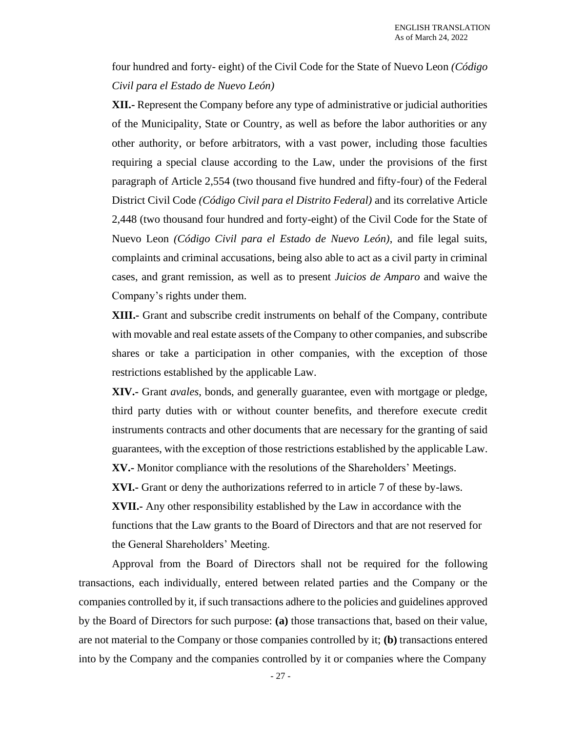four hundred and forty- eight) of the Civil Code for the State of Nuevo Leon *(Código Civil para el Estado de Nuevo León)*

**XII.-** Represent the Company before any type of administrative or judicial authorities of the Municipality, State or Country, as well as before the labor authorities or any other authority, or before arbitrators, with a vast power, including those faculties requiring a special clause according to the Law, under the provisions of the first paragraph of Article 2,554 (two thousand five hundred and fifty-four) of the Federal District Civil Code *(Código Civil para el Distrito Federal)* and its correlative Article 2,448 (two thousand four hundred and forty-eight) of the Civil Code for the State of Nuevo Leon *(Código Civil para el Estado de Nuevo León)*, and file legal suits, complaints and criminal accusations, being also able to act as a civil party in criminal cases, and grant remission, as well as to present *Juicios de Amparo* and waive the Company's rights under them.

**XIII.-** Grant and subscribe credit instruments on behalf of the Company, contribute with movable and real estate assets of the Company to other companies, and subscribe shares or take a participation in other companies, with the exception of those restrictions established by the applicable Law.

**XIV.-** Grant *avales*, bonds, and generally guarantee, even with mortgage or pledge, third party duties with or without counter benefits, and therefore execute credit instruments contracts and other documents that are necessary for the granting of said guarantees, with the exception of those restrictions established by the applicable Law.

**XV.-** Monitor compliance with the resolutions of the Shareholders' Meetings.

**XVI.-** Grant or deny the authorizations referred to in article 7 of these by-laws.

**XVII.-** Any other responsibility established by the Law in accordance with the functions that the Law grants to the Board of Directors and that are not reserved for the General Shareholders' Meeting.

Approval from the Board of Directors shall not be required for the following transactions, each individually, entered between related parties and the Company or the companies controlled by it, if such transactions adhere to the policies and guidelines approved by the Board of Directors for such purpose: **(a)** those transactions that, based on their value, are not material to the Company or those companies controlled by it; **(b)** transactions entered into by the Company and the companies controlled by it or companies where the Company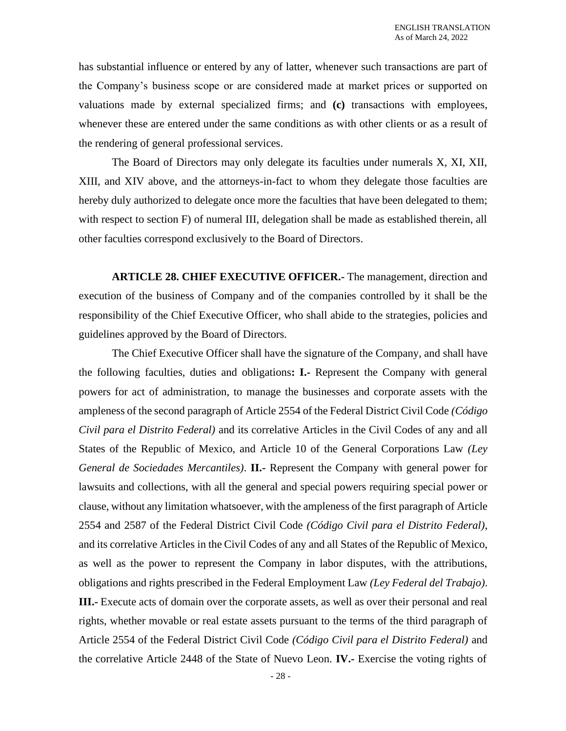has substantial influence or entered by any of latter, whenever such transactions are part of the Company's business scope or are considered made at market prices or supported on valuations made by external specialized firms; and **(c)** transactions with employees, whenever these are entered under the same conditions as with other clients or as a result of the rendering of general professional services.

The Board of Directors may only delegate its faculties under numerals X, XI, XII, XIII, and XIV above, and the attorneys-in-fact to whom they delegate those faculties are hereby duly authorized to delegate once more the faculties that have been delegated to them; with respect to section F) of numeral III, delegation shall be made as established therein, all other faculties correspond exclusively to the Board of Directors.

**ARTICLE 28. CHIEF EXECUTIVE OFFICER.-** The management, direction and execution of the business of Company and of the companies controlled by it shall be the responsibility of the Chief Executive Officer, who shall abide to the strategies, policies and guidelines approved by the Board of Directors.

The Chief Executive Officer shall have the signature of the Company, and shall have the following faculties, duties and obligations**: I.-** Represent the Company with general powers for act of administration, to manage the businesses and corporate assets with the ampleness of the second paragraph of Article 2554 of the Federal District Civil Code *(Código Civil para el Distrito Federal)* and its correlative Articles in the Civil Codes of any and all States of the Republic of Mexico, and Article 10 of the General Corporations Law *(Ley General de Sociedades Mercantiles)*. **II.-** Represent the Company with general power for lawsuits and collections, with all the general and special powers requiring special power or clause, without any limitation whatsoever, with the ampleness of the first paragraph of Article 2554 and 2587 of the Federal District Civil Code *(Código Civil para el Distrito Federal)*, and its correlative Articles in the Civil Codes of any and all States of the Republic of Mexico, as well as the power to represent the Company in labor disputes, with the attributions, obligations and rights prescribed in the Federal Employment Law *(Ley Federal del Trabajo)*. **III.-** Execute acts of domain over the corporate assets, as well as over their personal and real rights, whether movable or real estate assets pursuant to the terms of the third paragraph of Article 2554 of the Federal District Civil Code *(Código Civil para el Distrito Federal)* and the correlative Article 2448 of the State of Nuevo Leon. **IV.-** Exercise the voting rights of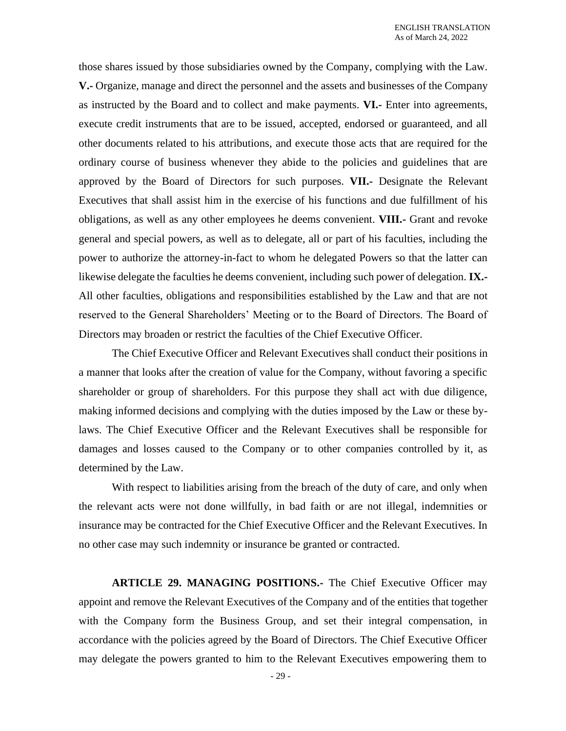those shares issued by those subsidiaries owned by the Company, complying with the Law. **V.-** Organize, manage and direct the personnel and the assets and businesses of the Company as instructed by the Board and to collect and make payments. **VI.-** Enter into agreements, execute credit instruments that are to be issued, accepted, endorsed or guaranteed, and all other documents related to his attributions, and execute those acts that are required for the ordinary course of business whenever they abide to the policies and guidelines that are approved by the Board of Directors for such purposes. **VII.-** Designate the Relevant Executives that shall assist him in the exercise of his functions and due fulfillment of his obligations, as well as any other employees he deems convenient. **VIII.-** Grant and revoke general and special powers, as well as to delegate, all or part of his faculties, including the power to authorize the attorney-in-fact to whom he delegated Powers so that the latter can likewise delegate the faculties he deems convenient, including such power of delegation. **IX.-** All other faculties, obligations and responsibilities established by the Law and that are not reserved to the General Shareholders' Meeting or to the Board of Directors. The Board of Directors may broaden or restrict the faculties of the Chief Executive Officer.

The Chief Executive Officer and Relevant Executives shall conduct their positions in a manner that looks after the creation of value for the Company, without favoring a specific shareholder or group of shareholders. For this purpose they shall act with due diligence, making informed decisions and complying with the duties imposed by the Law or these bylaws. The Chief Executive Officer and the Relevant Executives shall be responsible for damages and losses caused to the Company or to other companies controlled by it, as determined by the Law.

With respect to liabilities arising from the breach of the duty of care, and only when the relevant acts were not done willfully, in bad faith or are not illegal, indemnities or insurance may be contracted for the Chief Executive Officer and the Relevant Executives. In no other case may such indemnity or insurance be granted or contracted.

**ARTICLE 29. MANAGING POSITIONS.-** The Chief Executive Officer may appoint and remove the Relevant Executives of the Company and of the entities that together with the Company form the Business Group, and set their integral compensation, in accordance with the policies agreed by the Board of Directors. The Chief Executive Officer may delegate the powers granted to him to the Relevant Executives empowering them to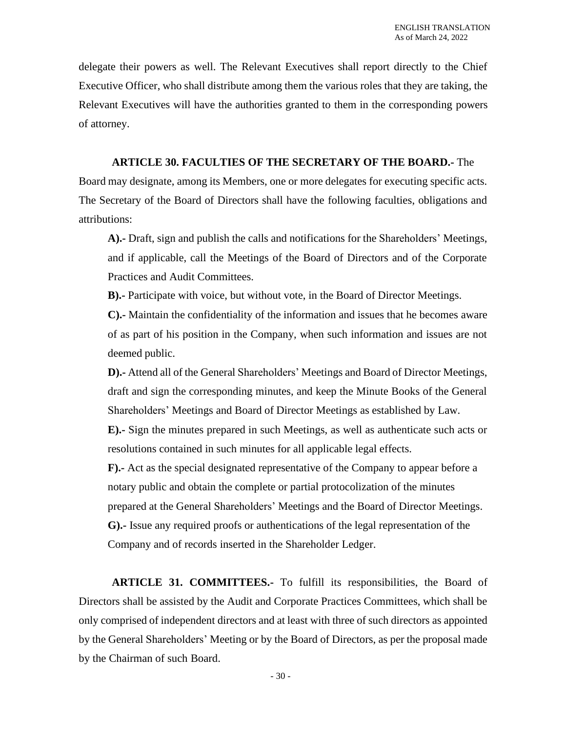delegate their powers as well. The Relevant Executives shall report directly to the Chief Executive Officer, who shall distribute among them the various roles that they are taking, the Relevant Executives will have the authorities granted to them in the corresponding powers of attorney.

# **ARTICLE 30. FACULTIES OF THE SECRETARY OF THE BOARD.-** The

Board may designate, among its Members, one or more delegates for executing specific acts. The Secretary of the Board of Directors shall have the following faculties, obligations and attributions:

**A).-** Draft, sign and publish the calls and notifications for the Shareholders' Meetings, and if applicable, call the Meetings of the Board of Directors and of the Corporate Practices and Audit Committees.

**B).-** Participate with voice, but without vote, in the Board of Director Meetings.

**C).-** Maintain the confidentiality of the information and issues that he becomes aware of as part of his position in the Company, when such information and issues are not deemed public.

**D).-** Attend all of the General Shareholders' Meetings and Board of Director Meetings, draft and sign the corresponding minutes, and keep the Minute Books of the General Shareholders' Meetings and Board of Director Meetings as established by Law.

**E).-** Sign the minutes prepared in such Meetings, as well as authenticate such acts or resolutions contained in such minutes for all applicable legal effects.

**F).-** Act as the special designated representative of the Company to appear before a notary public and obtain the complete or partial protocolization of the minutes prepared at the General Shareholders' Meetings and the Board of Director Meetings. **G).-** Issue any required proofs or authentications of the legal representation of the Company and of records inserted in the Shareholder Ledger.

**ARTICLE 31. COMMITTEES.-** To fulfill its responsibilities, the Board of Directors shall be assisted by the Audit and Corporate Practices Committees, which shall be only comprised of independent directors and at least with three of such directors as appointed by the General Shareholders' Meeting or by the Board of Directors, as per the proposal made by the Chairman of such Board.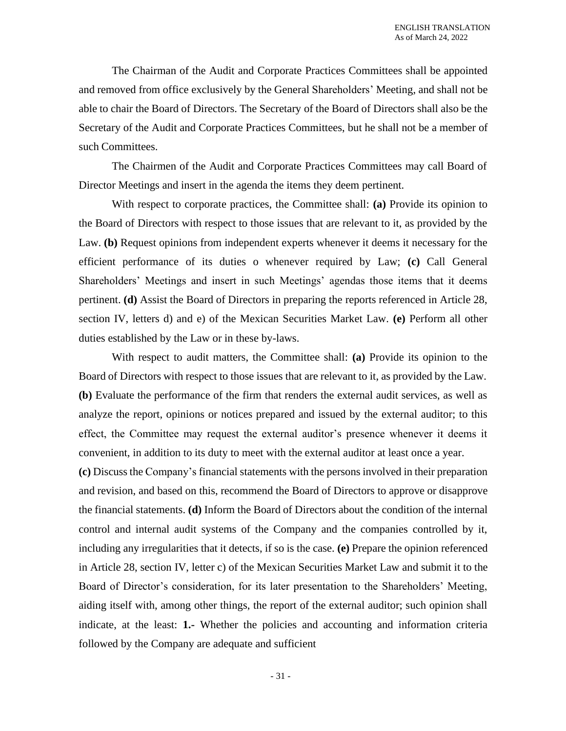The Chairman of the Audit and Corporate Practices Committees shall be appointed and removed from office exclusively by the General Shareholders' Meeting, and shall not be able to chair the Board of Directors. The Secretary of the Board of Directors shall also be the Secretary of the Audit and Corporate Practices Committees, but he shall not be a member of such Committees.

The Chairmen of the Audit and Corporate Practices Committees may call Board of Director Meetings and insert in the agenda the items they deem pertinent.

With respect to corporate practices, the Committee shall: **(a)** Provide its opinion to the Board of Directors with respect to those issues that are relevant to it, as provided by the Law. **(b)** Request opinions from independent experts whenever it deems it necessary for the efficient performance of its duties o whenever required by Law; **(c)** Call General Shareholders' Meetings and insert in such Meetings' agendas those items that it deems pertinent. **(d)** Assist the Board of Directors in preparing the reports referenced in Article 28, section IV, letters d) and e) of the Mexican Securities Market Law. **(e)** Perform all other duties established by the Law or in these by-laws.

With respect to audit matters, the Committee shall: **(a)** Provide its opinion to the Board of Directors with respect to those issues that are relevant to it, as provided by the Law. **(b)** Evaluate the performance of the firm that renders the external audit services, as well as analyze the report, opinions or notices prepared and issued by the external auditor; to this effect, the Committee may request the external auditor's presence whenever it deems it convenient, in addition to its duty to meet with the external auditor at least once a year.

**(c)** Discuss the Company's financial statements with the persons involved in their preparation and revision, and based on this, recommend the Board of Directors to approve or disapprove the financial statements. **(d)** Inform the Board of Directors about the condition of the internal control and internal audit systems of the Company and the companies controlled by it, including any irregularities that it detects, if so is the case. **(e)** Prepare the opinion referenced in Article 28, section IV, letter c) of the Mexican Securities Market Law and submit it to the Board of Director's consideration, for its later presentation to the Shareholders' Meeting, aiding itself with, among other things, the report of the external auditor; such opinion shall indicate, at the least: **1.-** Whether the policies and accounting and information criteria followed by the Company are adequate and sufficient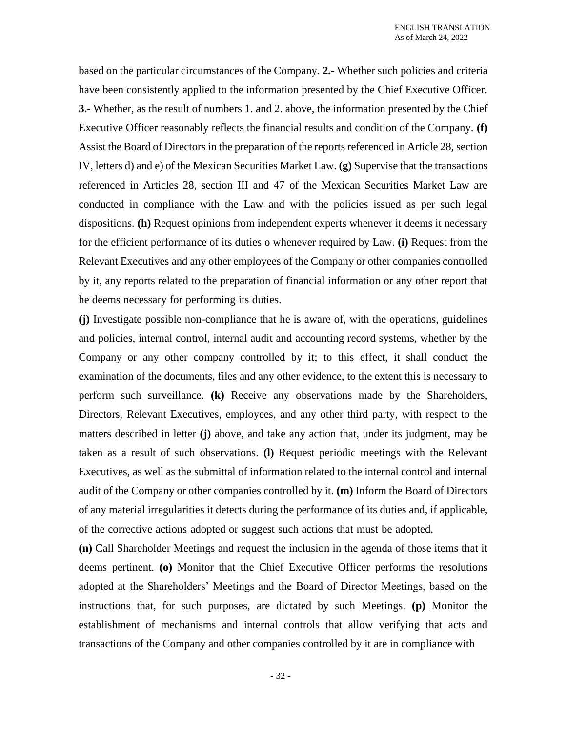based on the particular circumstances of the Company. **2.-** Whether such policies and criteria have been consistently applied to the information presented by the Chief Executive Officer. **3.-** Whether, as the result of numbers 1. and 2. above, the information presented by the Chief Executive Officer reasonably reflects the financial results and condition of the Company. **(f)** Assist the Board of Directors in the preparation of the reports referenced in Article 28, section IV, letters d) and e) of the Mexican Securities Market Law. **(g)** Supervise that the transactions referenced in Articles 28, section III and 47 of the Mexican Securities Market Law are conducted in compliance with the Law and with the policies issued as per such legal dispositions. **(h)** Request opinions from independent experts whenever it deems it necessary for the efficient performance of its duties o whenever required by Law. **(i)** Request from the Relevant Executives and any other employees of the Company or other companies controlled by it, any reports related to the preparation of financial information or any other report that he deems necessary for performing its duties.

**(j)** Investigate possible non-compliance that he is aware of, with the operations, guidelines and policies, internal control, internal audit and accounting record systems, whether by the Company or any other company controlled by it; to this effect, it shall conduct the examination of the documents, files and any other evidence, to the extent this is necessary to perform such surveillance. **(k)** Receive any observations made by the Shareholders, Directors, Relevant Executives, employees, and any other third party, with respect to the matters described in letter **(j)** above, and take any action that, under its judgment, may be taken as a result of such observations. **(l)** Request periodic meetings with the Relevant Executives, as well as the submittal of information related to the internal control and internal audit of the Company or other companies controlled by it. **(m)** Inform the Board of Directors of any material irregularities it detects during the performance of its duties and, if applicable, of the corrective actions adopted or suggest such actions that must be adopted.

**(n)** Call Shareholder Meetings and request the inclusion in the agenda of those items that it deems pertinent. **(o)** Monitor that the Chief Executive Officer performs the resolutions adopted at the Shareholders' Meetings and the Board of Director Meetings, based on the instructions that, for such purposes, are dictated by such Meetings. **(p)** Monitor the establishment of mechanisms and internal controls that allow verifying that acts and transactions of the Company and other companies controlled by it are in compliance with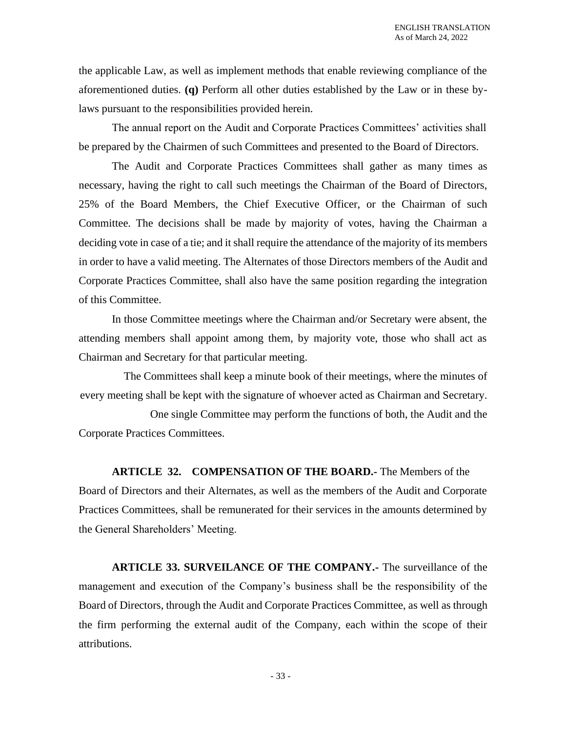the applicable Law, as well as implement methods that enable reviewing compliance of the aforementioned duties. **(q)** Perform all other duties established by the Law or in these bylaws pursuant to the responsibilities provided herein.

The annual report on the Audit and Corporate Practices Committees' activities shall be prepared by the Chairmen of such Committees and presented to the Board of Directors.

The Audit and Corporate Practices Committees shall gather as many times as necessary, having the right to call such meetings the Chairman of the Board of Directors, 25% of the Board Members, the Chief Executive Officer, or the Chairman of such Committee. The decisions shall be made by majority of votes, having the Chairman a deciding vote in case of a tie; and it shall require the attendance of the majority of its members in order to have a valid meeting. The Alternates of those Directors members of the Audit and Corporate Practices Committee, shall also have the same position regarding the integration of this Committee.

In those Committee meetings where the Chairman and/or Secretary were absent, the attending members shall appoint among them, by majority vote, those who shall act as Chairman and Secretary for that particular meeting.

The Committees shall keep a minute book of their meetings, where the minutes of every meeting shall be kept with the signature of whoever acted as Chairman and Secretary.

One single Committee may perform the functions of both, the Audit and the Corporate Practices Committees.

**ARTICLE 32. COMPENSATION OF THE BOARD.-** The Members of the Board of Directors and their Alternates, as well as the members of the Audit and Corporate Practices Committees, shall be remunerated for their services in the amounts determined by the General Shareholders' Meeting.

**ARTICLE 33. SURVEILANCE OF THE COMPANY.-** The surveillance of the management and execution of the Company's business shall be the responsibility of the Board of Directors, through the Audit and Corporate Practices Committee, as well as through the firm performing the external audit of the Company, each within the scope of their attributions.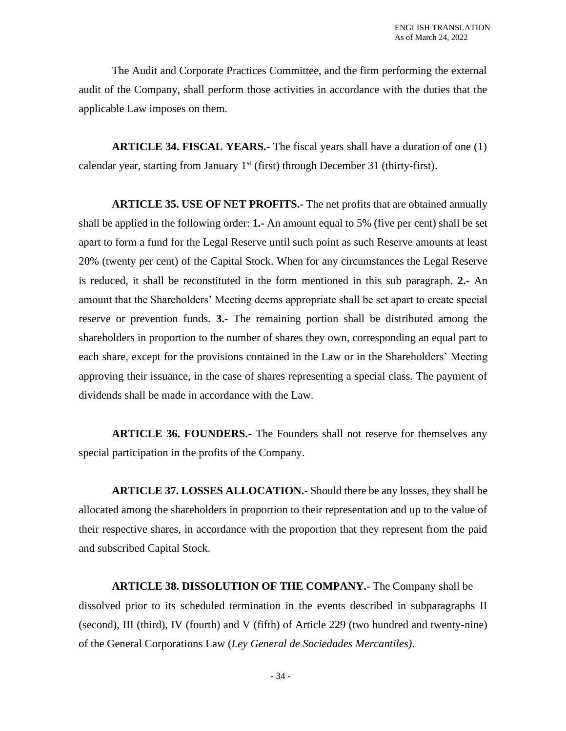The Audit and Corporate Practices Committee, and the firm performing the external audit of the Company, shall perform those activities in accordance with the duties that the applicable Law imposes on them.

**ARTICLE 34. FISCAL YEARS.-** The fiscal years shall have a duration of one (1) calendar year, starting from January  $1<sup>st</sup>$  (first) through December 31 (thirty-first).

**ARTICLE 35. USE OF NET PROFITS.-** The net profits that are obtained annually shall be applied in the following order: **1.-** An amount equal to 5% (five per cent) shall be set apart to form a fund for the Legal Reserve until such point as such Reserve amounts at least 20% (twenty per cent) of the Capital Stock. When for any circumstances the Legal Reserve is reduced, it shall be reconstituted in the form mentioned in this sub paragraph. **2.-** An amount that the Shareholders' Meeting deems appropriate shall be set apart to create special reserve or prevention funds. **3.-** The remaining portion shall be distributed among the shareholders in proportion to the number of shares they own, corresponding an equal part to each share, except for the provisions contained in the Law or in the Shareholders' Meeting approving their issuance, in the case of shares representing a special class. The payment of dividends shall be made in accordance with the Law.

**ARTICLE 36. FOUNDERS.** The Founders shall not reserve for themselves any special participation in the profits of the Company.

**ARTICLE 37. LOSSES ALLOCATION.-** Should there be any losses, they shall be allocated among the shareholders in proportion to their representation and up to the value of their respective shares, in accordance with the proportion that they represent from the paid and subscribed Capital Stock.

**ARTICLE 38. DISSOLUTION OF THE COMPANY.-** The Company shall be dissolved prior to its scheduled termination in the events described in subparagraphs II (second), III (third), IV (fourth) and V (fifth) of Article 229 (two hundred and twenty-nine) of the General Corporations Law (*Ley General de Sociedades Mercantiles)*.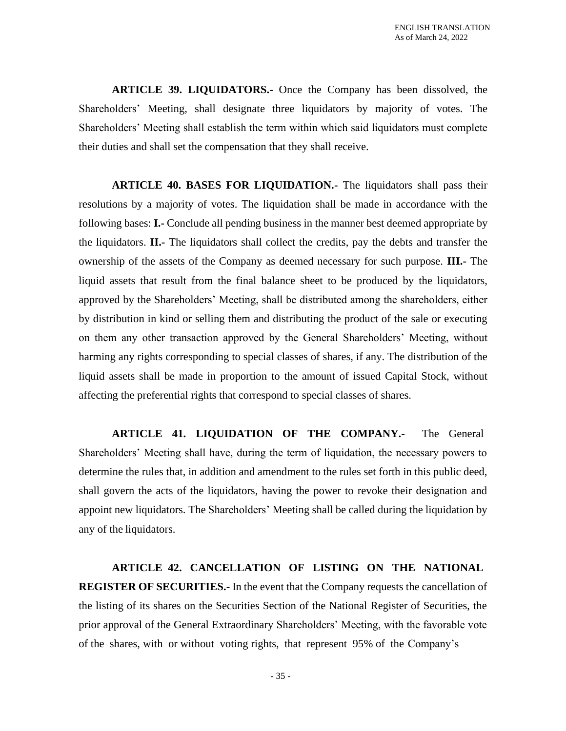**ARTICLE 39. LIQUIDATORS.-** Once the Company has been dissolved, the Shareholders' Meeting, shall designate three liquidators by majority of votes. The Shareholders' Meeting shall establish the term within which said liquidators must complete their duties and shall set the compensation that they shall receive.

**ARTICLE 40. BASES FOR LIQUIDATION.-** The liquidators shall pass their resolutions by a majority of votes. The liquidation shall be made in accordance with the following bases: **I.-** Conclude all pending business in the manner best deemed appropriate by the liquidators. **II.-** The liquidators shall collect the credits, pay the debts and transfer the ownership of the assets of the Company as deemed necessary for such purpose. **III.-** The liquid assets that result from the final balance sheet to be produced by the liquidators, approved by the Shareholders' Meeting, shall be distributed among the shareholders, either by distribution in kind or selling them and distributing the product of the sale or executing on them any other transaction approved by the General Shareholders' Meeting, without harming any rights corresponding to special classes of shares, if any. The distribution of the liquid assets shall be made in proportion to the amount of issued Capital Stock, without affecting the preferential rights that correspond to special classes of shares.

**ARTICLE 41. LIQUIDATION OF THE COMPANY.-** The General Shareholders' Meeting shall have, during the term of liquidation, the necessary powers to determine the rules that, in addition and amendment to the rules set forth in this public deed, shall govern the acts of the liquidators, having the power to revoke their designation and appoint new liquidators. The Shareholders' Meeting shall be called during the liquidation by any of the liquidators.

**ARTICLE 42. CANCELLATION OF LISTING ON THE NATIONAL REGISTER OF SECURITIES.-** In the event that the Company requests the cancellation of the listing of its shares on the Securities Section of the National Register of Securities, the prior approval of the General Extraordinary Shareholders' Meeting, with the favorable vote of the shares, with or without voting rights, that represent 95% of the Company's